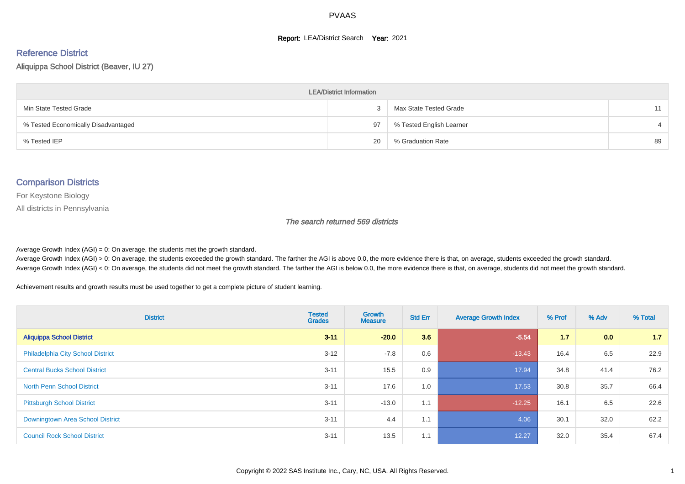#### **Report: LEA/District Search Year: 2021**

# Reference District

Aliquippa School District (Beaver, IU 27)

| <b>LEA/District Information</b>     |    |                          |    |  |  |  |  |  |  |
|-------------------------------------|----|--------------------------|----|--|--|--|--|--|--|
| Min State Tested Grade              |    | Max State Tested Grade   | 11 |  |  |  |  |  |  |
| % Tested Economically Disadvantaged | 97 | % Tested English Learner |    |  |  |  |  |  |  |
| % Tested IEP                        | 20 | % Graduation Rate        | 89 |  |  |  |  |  |  |

#### Comparison Districts

For Keystone Biology

All districts in Pennsylvania

The search returned 569 districts

Average Growth Index  $(AGI) = 0$ : On average, the students met the growth standard.

Average Growth Index (AGI) > 0: On average, the students exceeded the growth standard. The farther the AGI is above 0.0, the more evidence there is that, on average, students exceeded the growth standard. Average Growth Index (AGI) < 0: On average, the students did not meet the growth standard. The farther the AGI is below 0.0, the more evidence there is that, on average, students did not meet the growth standard.

Achievement results and growth results must be used together to get a complete picture of student learning.

| <b>District</b>                          | <b>Tested</b><br><b>Grades</b> | <b>Growth</b><br><b>Measure</b> | <b>Std Err</b> | <b>Average Growth Index</b> | % Prof | % Adv | % Total |
|------------------------------------------|--------------------------------|---------------------------------|----------------|-----------------------------|--------|-------|---------|
| <b>Aliquippa School District</b>         | $3 - 11$                       | $-20.0$                         | 3.6            | $-5.54$                     | 1.7    | 0.0   | 1.7     |
| <b>Philadelphia City School District</b> | $3 - 12$                       | $-7.8$                          | 0.6            | $-13.43$                    | 16.4   | 6.5   | 22.9    |
| <b>Central Bucks School District</b>     | $3 - 11$                       | 15.5                            | 0.9            | 17.94                       | 34.8   | 41.4  | 76.2    |
| <b>North Penn School District</b>        | $3 - 11$                       | 17.6                            | 1.0            | 17.53                       | 30.8   | 35.7  | 66.4    |
| <b>Pittsburgh School District</b>        | $3 - 11$                       | $-13.0$                         | 1.1            | $-12.25$                    | 16.1   | 6.5   | 22.6    |
| Downingtown Area School District         | $3 - 11$                       | 4.4                             | 1.1            | 4.06                        | 30.1   | 32.0  | 62.2    |
| <b>Council Rock School District</b>      | $3 - 11$                       | 13.5                            | 1.1            | 12.27                       | 32.0   | 35.4  | 67.4    |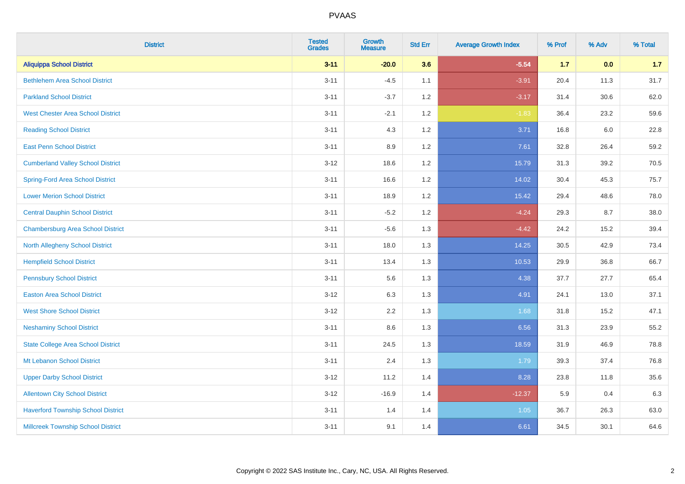| <b>District</b>                           | <b>Tested</b><br><b>Grades</b> | <b>Growth</b><br><b>Measure</b> | <b>Std Err</b> | <b>Average Growth Index</b> | % Prof | % Adv | % Total |
|-------------------------------------------|--------------------------------|---------------------------------|----------------|-----------------------------|--------|-------|---------|
| <b>Aliquippa School District</b>          | $3 - 11$                       | $-20.0$                         | 3.6            | $-5.54$                     | $1.7$  | 0.0   | 1.7     |
| <b>Bethlehem Area School District</b>     | $3 - 11$                       | $-4.5$                          | 1.1            | $-3.91$                     | 20.4   | 11.3  | 31.7    |
| <b>Parkland School District</b>           | $3 - 11$                       | $-3.7$                          | 1.2            | $-3.17$                     | 31.4   | 30.6  | 62.0    |
| <b>West Chester Area School District</b>  | $3 - 11$                       | $-2.1$                          | $1.2\,$        | $-1.83$                     | 36.4   | 23.2  | 59.6    |
| <b>Reading School District</b>            | $3 - 11$                       | 4.3                             | 1.2            | 3.71                        | 16.8   | 6.0   | 22.8    |
| <b>East Penn School District</b>          | $3 - 11$                       | 8.9                             | 1.2            | 7.61                        | 32.8   | 26.4  | 59.2    |
| <b>Cumberland Valley School District</b>  | $3 - 12$                       | 18.6                            | 1.2            | 15.79                       | 31.3   | 39.2  | 70.5    |
| <b>Spring-Ford Area School District</b>   | $3 - 11$                       | 16.6                            | 1.2            | 14.02                       | 30.4   | 45.3  | 75.7    |
| <b>Lower Merion School District</b>       | $3 - 11$                       | 18.9                            | 1.2            | 15.42                       | 29.4   | 48.6  | 78.0    |
| <b>Central Dauphin School District</b>    | $3 - 11$                       | $-5.2$                          | 1.2            | $-4.24$                     | 29.3   | 8.7   | 38.0    |
| <b>Chambersburg Area School District</b>  | $3 - 11$                       | $-5.6$                          | 1.3            | $-4.42$                     | 24.2   | 15.2  | 39.4    |
| North Allegheny School District           | $3 - 11$                       | 18.0                            | 1.3            | 14.25                       | 30.5   | 42.9  | 73.4    |
| <b>Hempfield School District</b>          | $3 - 11$                       | 13.4                            | 1.3            | 10.53                       | 29.9   | 36.8  | 66.7    |
| <b>Pennsbury School District</b>          | $3 - 11$                       | 5.6                             | 1.3            | 4.38                        | 37.7   | 27.7  | 65.4    |
| <b>Easton Area School District</b>        | $3 - 12$                       | 6.3                             | 1.3            | 4.91                        | 24.1   | 13.0  | 37.1    |
| <b>West Shore School District</b>         | $3 - 12$                       | 2.2                             | 1.3            | 1.68                        | 31.8   | 15.2  | 47.1    |
| <b>Neshaminy School District</b>          | $3 - 11$                       | 8.6                             | 1.3            | 6.56                        | 31.3   | 23.9  | 55.2    |
| <b>State College Area School District</b> | $3 - 11$                       | 24.5                            | 1.3            | 18.59                       | 31.9   | 46.9  | 78.8    |
| Mt Lebanon School District                | $3 - 11$                       | 2.4                             | 1.3            | 1.79                        | 39.3   | 37.4  | 76.8    |
| <b>Upper Darby School District</b>        | $3-12$                         | 11.2                            | 1.4            | 8.28                        | 23.8   | 11.8  | 35.6    |
| <b>Allentown City School District</b>     | $3 - 12$                       | $-16.9$                         | 1.4            | $-12.37$                    | 5.9    | 0.4   | 6.3     |
| <b>Haverford Township School District</b> | $3 - 11$                       | 1.4                             | 1.4            | 1.05                        | 36.7   | 26.3  | 63.0    |
| <b>Millcreek Township School District</b> | $3 - 11$                       | 9.1                             | 1.4            | 6.61                        | 34.5   | 30.1  | 64.6    |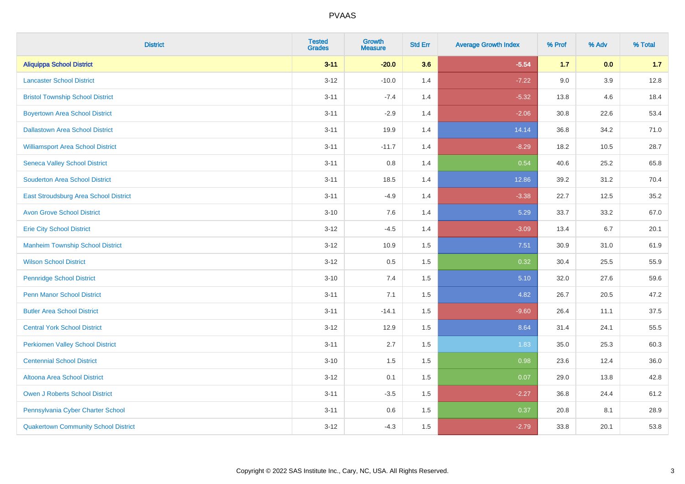| <b>District</b>                             | <b>Tested</b><br><b>Grades</b> | <b>Growth</b><br><b>Measure</b> | <b>Std Err</b> | <b>Average Growth Index</b> | % Prof | % Adv | % Total |
|---------------------------------------------|--------------------------------|---------------------------------|----------------|-----------------------------|--------|-------|---------|
| <b>Aliquippa School District</b>            | $3 - 11$                       | $-20.0$                         | 3.6            | $-5.54$                     | $1.7$  | 0.0   | 1.7     |
| <b>Lancaster School District</b>            | $3 - 12$                       | $-10.0$                         | 1.4            | $-7.22$                     | 9.0    | 3.9   | 12.8    |
| <b>Bristol Township School District</b>     | $3 - 11$                       | $-7.4$                          | 1.4            | $-5.32$                     | 13.8   | 4.6   | 18.4    |
| <b>Boyertown Area School District</b>       | $3 - 11$                       | $-2.9$                          | 1.4            | $-2.06$                     | 30.8   | 22.6  | 53.4    |
| <b>Dallastown Area School District</b>      | $3 - 11$                       | 19.9                            | 1.4            | 14.14                       | 36.8   | 34.2  | 71.0    |
| <b>Williamsport Area School District</b>    | $3 - 11$                       | $-11.7$                         | 1.4            | $-8.29$                     | 18.2   | 10.5  | 28.7    |
| <b>Seneca Valley School District</b>        | $3 - 11$                       | $0.8\,$                         | 1.4            | 0.54                        | 40.6   | 25.2  | 65.8    |
| <b>Souderton Area School District</b>       | $3 - 11$                       | 18.5                            | 1.4            | 12.86                       | 39.2   | 31.2  | 70.4    |
| East Stroudsburg Area School District       | $3 - 11$                       | $-4.9$                          | 1.4            | $-3.38$                     | 22.7   | 12.5  | 35.2    |
| <b>Avon Grove School District</b>           | $3 - 10$                       | $7.6\,$                         | 1.4            | 5.29                        | 33.7   | 33.2  | 67.0    |
| <b>Erie City School District</b>            | $3 - 12$                       | $-4.5$                          | 1.4            | $-3.09$                     | 13.4   | 6.7   | 20.1    |
| <b>Manheim Township School District</b>     | $3 - 12$                       | 10.9                            | 1.5            | 7.51                        | 30.9   | 31.0  | 61.9    |
| <b>Wilson School District</b>               | $3 - 12$                       | 0.5                             | 1.5            | 0.32                        | 30.4   | 25.5  | 55.9    |
| <b>Pennridge School District</b>            | $3 - 10$                       | 7.4                             | 1.5            | 5.10                        | 32.0   | 27.6  | 59.6    |
| <b>Penn Manor School District</b>           | $3 - 11$                       | 7.1                             | 1.5            | 4.82                        | 26.7   | 20.5  | 47.2    |
| <b>Butler Area School District</b>          | $3 - 11$                       | $-14.1$                         | 1.5            | $-9.60$                     | 26.4   | 11.1  | 37.5    |
| <b>Central York School District</b>         | $3 - 12$                       | 12.9                            | 1.5            | 8.64                        | 31.4   | 24.1  | 55.5    |
| <b>Perkiomen Valley School District</b>     | $3 - 11$                       | 2.7                             | 1.5            | 1.83                        | 35.0   | 25.3  | 60.3    |
| <b>Centennial School District</b>           | $3 - 10$                       | 1.5                             | 1.5            | 0.98                        | 23.6   | 12.4  | 36.0    |
| Altoona Area School District                | $3 - 12$                       | 0.1                             | 1.5            | 0.07                        | 29.0   | 13.8  | 42.8    |
| Owen J Roberts School District              | $3 - 11$                       | $-3.5$                          | 1.5            | $-2.27$                     | 36.8   | 24.4  | 61.2    |
| Pennsylvania Cyber Charter School           | $3 - 11$                       | 0.6                             | 1.5            | 0.37                        | 20.8   | 8.1   | 28.9    |
| <b>Quakertown Community School District</b> | $3 - 12$                       | $-4.3$                          | 1.5            | $-2.79$                     | 33.8   | 20.1  | 53.8    |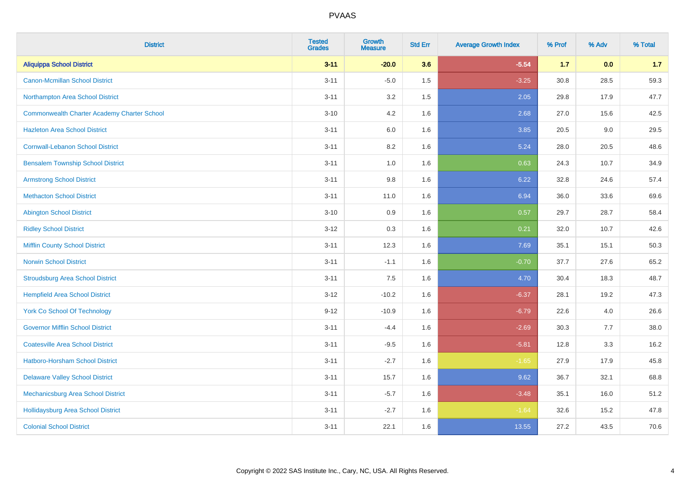| <b>District</b>                                    | <b>Tested</b><br><b>Grades</b> | <b>Growth</b><br><b>Measure</b> | <b>Std Err</b> | <b>Average Growth Index</b> | % Prof | % Adv | % Total |
|----------------------------------------------------|--------------------------------|---------------------------------|----------------|-----------------------------|--------|-------|---------|
| <b>Aliquippa School District</b>                   | $3 - 11$                       | $-20.0$                         | 3.6            | $-5.54$                     | $1.7$  | 0.0   | 1.7     |
| <b>Canon-Mcmillan School District</b>              | $3 - 11$                       | $-5.0$                          | 1.5            | $-3.25$                     | 30.8   | 28.5  | 59.3    |
| Northampton Area School District                   | $3 - 11$                       | 3.2                             | 1.5            | 2.05                        | 29.8   | 17.9  | 47.7    |
| <b>Commonwealth Charter Academy Charter School</b> | $3 - 10$                       | 4.2                             | 1.6            | 2.68                        | 27.0   | 15.6  | 42.5    |
| <b>Hazleton Area School District</b>               | $3 - 11$                       | 6.0                             | 1.6            | 3.85                        | 20.5   | 9.0   | 29.5    |
| <b>Cornwall-Lebanon School District</b>            | $3 - 11$                       | 8.2                             | 1.6            | 5.24                        | 28.0   | 20.5  | 48.6    |
| <b>Bensalem Township School District</b>           | $3 - 11$                       | 1.0                             | 1.6            | 0.63                        | 24.3   | 10.7  | 34.9    |
| <b>Armstrong School District</b>                   | $3 - 11$                       | $9.8\,$                         | 1.6            | 6.22                        | 32.8   | 24.6  | 57.4    |
| <b>Methacton School District</b>                   | $3 - 11$                       | 11.0                            | 1.6            | 6.94                        | 36.0   | 33.6  | 69.6    |
| <b>Abington School District</b>                    | $3 - 10$                       | 0.9                             | 1.6            | 0.57                        | 29.7   | 28.7  | 58.4    |
| <b>Ridley School District</b>                      | $3 - 12$                       | 0.3                             | 1.6            | 0.21                        | 32.0   | 10.7  | 42.6    |
| <b>Mifflin County School District</b>              | $3 - 11$                       | 12.3                            | 1.6            | 7.69                        | 35.1   | 15.1  | 50.3    |
| <b>Norwin School District</b>                      | $3 - 11$                       | $-1.1$                          | 1.6            | $-0.70$                     | 37.7   | 27.6  | 65.2    |
| <b>Stroudsburg Area School District</b>            | $3 - 11$                       | 7.5                             | 1.6            | 4.70                        | 30.4   | 18.3  | 48.7    |
| <b>Hempfield Area School District</b>              | $3 - 12$                       | $-10.2$                         | 1.6            | $-6.37$                     | 28.1   | 19.2  | 47.3    |
| <b>York Co School Of Technology</b>                | $9 - 12$                       | $-10.9$                         | 1.6            | $-6.79$                     | 22.6   | 4.0   | 26.6    |
| <b>Governor Mifflin School District</b>            | $3 - 11$                       | $-4.4$                          | 1.6            | $-2.69$                     | 30.3   | 7.7   | 38.0    |
| <b>Coatesville Area School District</b>            | $3 - 11$                       | $-9.5$                          | 1.6            | $-5.81$                     | 12.8   | 3.3   | 16.2    |
| <b>Hatboro-Horsham School District</b>             | $3 - 11$                       | $-2.7$                          | 1.6            | $-1.65$                     | 27.9   | 17.9  | 45.8    |
| <b>Delaware Valley School District</b>             | $3 - 11$                       | 15.7                            | 1.6            | 9.62                        | 36.7   | 32.1  | 68.8    |
| Mechanicsburg Area School District                 | $3 - 11$                       | $-5.7$                          | 1.6            | $-3.48$                     | 35.1   | 16.0  | 51.2    |
| <b>Hollidaysburg Area School District</b>          | $3 - 11$                       | $-2.7$                          | 1.6            | $-1.64$                     | 32.6   | 15.2  | 47.8    |
| <b>Colonial School District</b>                    | $3 - 11$                       | 22.1                            | 1.6            | 13.55                       | 27.2   | 43.5  | 70.6    |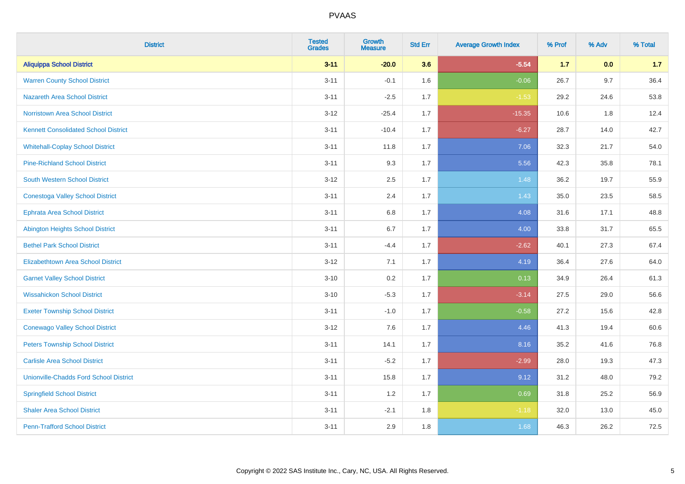| <b>District</b>                               | <b>Tested</b><br><b>Grades</b> | <b>Growth</b><br><b>Measure</b> | <b>Std Err</b> | <b>Average Growth Index</b> | % Prof | % Adv   | % Total |
|-----------------------------------------------|--------------------------------|---------------------------------|----------------|-----------------------------|--------|---------|---------|
| <b>Aliquippa School District</b>              | $3 - 11$                       | $-20.0$                         | 3.6            | $-5.54$                     | $1.7$  | 0.0     | 1.7     |
| <b>Warren County School District</b>          | $3 - 11$                       | $-0.1$                          | 1.6            | $-0.06$                     | 26.7   | 9.7     | 36.4    |
| <b>Nazareth Area School District</b>          | $3 - 11$                       | $-2.5$                          | 1.7            | $-1.53$                     | 29.2   | 24.6    | 53.8    |
| Norristown Area School District               | $3-12$                         | $-25.4$                         | 1.7            | $-15.35$                    | 10.6   | $1.8\,$ | 12.4    |
| <b>Kennett Consolidated School District</b>   | $3 - 11$                       | $-10.4$                         | 1.7            | $-6.27$                     | 28.7   | 14.0    | 42.7    |
| <b>Whitehall-Coplay School District</b>       | $3 - 11$                       | 11.8                            | 1.7            | 7.06                        | 32.3   | 21.7    | 54.0    |
| <b>Pine-Richland School District</b>          | $3 - 11$                       | 9.3                             | 1.7            | 5.56                        | 42.3   | 35.8    | 78.1    |
| <b>South Western School District</b>          | $3 - 12$                       | 2.5                             | 1.7            | 1.48                        | 36.2   | 19.7    | 55.9    |
| <b>Conestoga Valley School District</b>       | $3 - 11$                       | 2.4                             | 1.7            | 1.43                        | 35.0   | 23.5    | 58.5    |
| <b>Ephrata Area School District</b>           | $3 - 11$                       | 6.8                             | 1.7            | 4.08                        | 31.6   | 17.1    | 48.8    |
| <b>Abington Heights School District</b>       | $3 - 11$                       | 6.7                             | 1.7            | 4.00                        | 33.8   | 31.7    | 65.5    |
| <b>Bethel Park School District</b>            | $3 - 11$                       | $-4.4$                          | 1.7            | $-2.62$                     | 40.1   | 27.3    | 67.4    |
| Elizabethtown Area School District            | $3 - 12$                       | 7.1                             | 1.7            | 4.19                        | 36.4   | 27.6    | 64.0    |
| <b>Garnet Valley School District</b>          | $3 - 10$                       | 0.2                             | 1.7            | 0.13                        | 34.9   | 26.4    | 61.3    |
| <b>Wissahickon School District</b>            | $3 - 10$                       | $-5.3$                          | 1.7            | $-3.14$                     | 27.5   | 29.0    | 56.6    |
| <b>Exeter Township School District</b>        | $3 - 11$                       | $-1.0$                          | 1.7            | $-0.58$                     | 27.2   | 15.6    | 42.8    |
| <b>Conewago Valley School District</b>        | $3 - 12$                       | 7.6                             | 1.7            | 4.46                        | 41.3   | 19.4    | 60.6    |
| <b>Peters Township School District</b>        | $3 - 11$                       | 14.1                            | 1.7            | 8.16                        | 35.2   | 41.6    | 76.8    |
| <b>Carlisle Area School District</b>          | $3 - 11$                       | $-5.2$                          | 1.7            | $-2.99$                     | 28.0   | 19.3    | 47.3    |
| <b>Unionville-Chadds Ford School District</b> | $3 - 11$                       | 15.8                            | 1.7            | 9.12                        | 31.2   | 48.0    | 79.2    |
| <b>Springfield School District</b>            | $3 - 11$                       | 1.2                             | 1.7            | 0.69                        | 31.8   | 25.2    | 56.9    |
| <b>Shaler Area School District</b>            | $3 - 11$                       | $-2.1$                          | 1.8            | $-1.18$                     | 32.0   | 13.0    | 45.0    |
| <b>Penn-Trafford School District</b>          | $3 - 11$                       | 2.9                             | 1.8            | 1.68                        | 46.3   | 26.2    | 72.5    |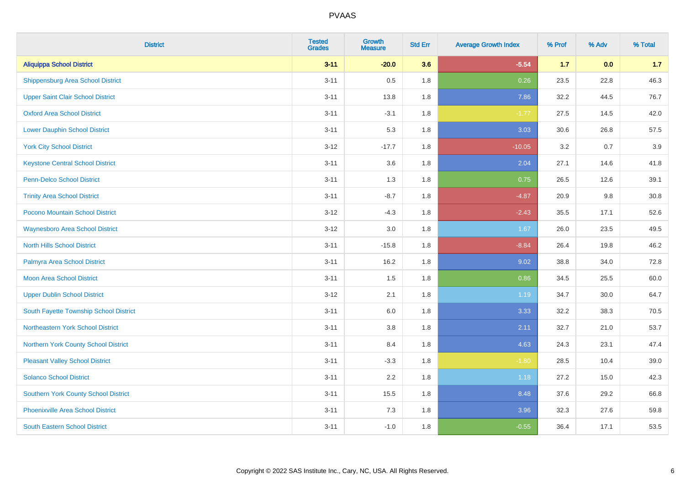| <b>District</b>                             | <b>Tested</b><br><b>Grades</b> | <b>Growth</b><br><b>Measure</b> | <b>Std Err</b> | <b>Average Growth Index</b> | % Prof | % Adv | % Total |
|---------------------------------------------|--------------------------------|---------------------------------|----------------|-----------------------------|--------|-------|---------|
| <b>Aliquippa School District</b>            | $3 - 11$                       | $-20.0$                         | 3.6            | $-5.54$                     | $1.7$  | 0.0   | 1.7     |
| <b>Shippensburg Area School District</b>    | $3 - 11$                       | 0.5                             | 1.8            | 0.26                        | 23.5   | 22.8  | 46.3    |
| <b>Upper Saint Clair School District</b>    | $3 - 11$                       | 13.8                            | 1.8            | 7.86                        | 32.2   | 44.5  | 76.7    |
| <b>Oxford Area School District</b>          | $3 - 11$                       | $-3.1$                          | 1.8            | $-1.77$                     | 27.5   | 14.5  | 42.0    |
| <b>Lower Dauphin School District</b>        | $3 - 11$                       | 5.3                             | 1.8            | 3.03                        | 30.6   | 26.8  | 57.5    |
| <b>York City School District</b>            | $3 - 12$                       | $-17.7$                         | 1.8            | $-10.05$                    | 3.2    | 0.7   | 3.9     |
| <b>Keystone Central School District</b>     | $3 - 11$                       | 3.6                             | 1.8            | 2.04                        | 27.1   | 14.6  | 41.8    |
| <b>Penn-Delco School District</b>           | $3 - 11$                       | 1.3                             | 1.8            | 0.75                        | 26.5   | 12.6  | 39.1    |
| <b>Trinity Area School District</b>         | $3 - 11$                       | $-8.7$                          | 1.8            | $-4.87$                     | 20.9   | 9.8   | 30.8    |
| Pocono Mountain School District             | $3 - 12$                       | $-4.3$                          | 1.8            | $-2.43$                     | 35.5   | 17.1  | 52.6    |
| <b>Waynesboro Area School District</b>      | $3 - 12$                       | 3.0                             | 1.8            | 1.67                        | 26.0   | 23.5  | 49.5    |
| <b>North Hills School District</b>          | $3 - 11$                       | $-15.8$                         | 1.8            | $-8.84$                     | 26.4   | 19.8  | 46.2    |
| Palmyra Area School District                | $3 - 11$                       | 16.2                            | 1.8            | 9.02                        | 38.8   | 34.0  | 72.8    |
| Moon Area School District                   | $3 - 11$                       | 1.5                             | 1.8            | 0.86                        | 34.5   | 25.5  | 60.0    |
| <b>Upper Dublin School District</b>         | $3 - 12$                       | 2.1                             | 1.8            | 1.19                        | 34.7   | 30.0  | 64.7    |
| South Fayette Township School District      | $3 - 11$                       | $6.0\,$                         | 1.8            | 3.33                        | 32.2   | 38.3  | 70.5    |
| Northeastern York School District           | $3 - 11$                       | 3.8                             | 1.8            | 2.11                        | 32.7   | 21.0  | 53.7    |
| Northern York County School District        | $3 - 11$                       | 8.4                             | 1.8            | 4.63                        | 24.3   | 23.1  | 47.4    |
| <b>Pleasant Valley School District</b>      | $3 - 11$                       | $-3.3$                          | 1.8            | $-1.80$                     | 28.5   | 10.4  | 39.0    |
| <b>Solanco School District</b>              | $3 - 11$                       | 2.2                             | 1.8            | 1.18                        | 27.2   | 15.0  | 42.3    |
| <b>Southern York County School District</b> | $3 - 11$                       | 15.5                            | 1.8            | 8.48                        | 37.6   | 29.2  | 66.8    |
| <b>Phoenixville Area School District</b>    | $3 - 11$                       | 7.3                             | 1.8            | 3.96                        | 32.3   | 27.6  | 59.8    |
| <b>South Eastern School District</b>        | $3 - 11$                       | $-1.0$                          | 1.8            | $-0.55$                     | 36.4   | 17.1  | 53.5    |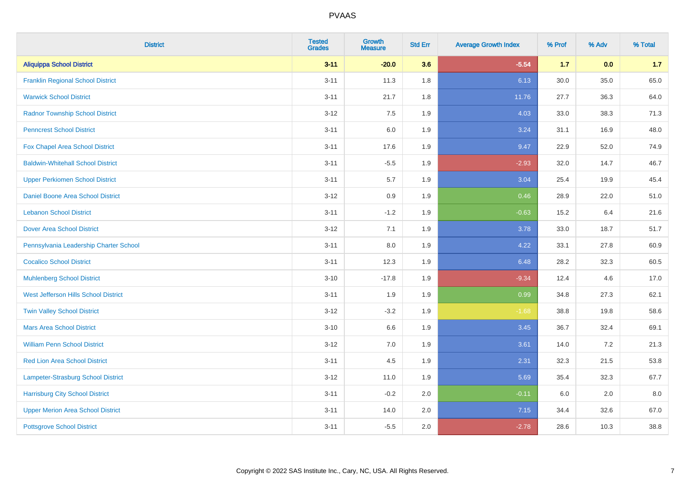| <b>District</b>                           | <b>Tested</b><br><b>Grades</b> | <b>Growth</b><br><b>Measure</b> | <b>Std Err</b> | <b>Average Growth Index</b> | % Prof | % Adv | % Total |
|-------------------------------------------|--------------------------------|---------------------------------|----------------|-----------------------------|--------|-------|---------|
| <b>Aliquippa School District</b>          | $3 - 11$                       | $-20.0$                         | 3.6            | $-5.54$                     | $1.7$  | 0.0   | 1.7     |
| <b>Franklin Regional School District</b>  | $3 - 11$                       | 11.3                            | 1.8            | 6.13                        | 30.0   | 35.0  | 65.0    |
| <b>Warwick School District</b>            | $3 - 11$                       | 21.7                            | 1.8            | 11.76                       | 27.7   | 36.3  | 64.0    |
| <b>Radnor Township School District</b>    | $3 - 12$                       | 7.5                             | 1.9            | 4.03                        | 33.0   | 38.3  | 71.3    |
| <b>Penncrest School District</b>          | $3 - 11$                       | 6.0                             | 1.9            | 3.24                        | 31.1   | 16.9  | 48.0    |
| Fox Chapel Area School District           | $3 - 11$                       | 17.6                            | 1.9            | 9.47                        | 22.9   | 52.0  | 74.9    |
| <b>Baldwin-Whitehall School District</b>  | $3 - 11$                       | $-5.5$                          | 1.9            | $-2.93$                     | 32.0   | 14.7  | 46.7    |
| <b>Upper Perkiomen School District</b>    | $3 - 11$                       | 5.7                             | 1.9            | 3.04                        | 25.4   | 19.9  | 45.4    |
| Daniel Boone Area School District         | $3 - 12$                       | $0.9\,$                         | 1.9            | 0.46                        | 28.9   | 22.0  | 51.0    |
| <b>Lebanon School District</b>            | $3 - 11$                       | $-1.2$                          | 1.9            | $-0.63$                     | 15.2   | 6.4   | 21.6    |
| <b>Dover Area School District</b>         | $3 - 12$                       | 7.1                             | 1.9            | 3.78                        | 33.0   | 18.7  | 51.7    |
| Pennsylvania Leadership Charter School    | $3 - 11$                       | 8.0                             | 1.9            | 4.22                        | 33.1   | 27.8  | 60.9    |
| <b>Cocalico School District</b>           | $3 - 11$                       | 12.3                            | 1.9            | 6.48                        | 28.2   | 32.3  | 60.5    |
| <b>Muhlenberg School District</b>         | $3 - 10$                       | $-17.8$                         | 1.9            | $-9.34$                     | 12.4   | 4.6   | 17.0    |
| West Jefferson Hills School District      | $3 - 11$                       | 1.9                             | 1.9            | 0.99                        | 34.8   | 27.3  | 62.1    |
| <b>Twin Valley School District</b>        | $3 - 12$                       | $-3.2$                          | 1.9            | $-1.68$                     | 38.8   | 19.8  | 58.6    |
| <b>Mars Area School District</b>          | $3 - 10$                       | 6.6                             | 1.9            | 3.45                        | 36.7   | 32.4  | 69.1    |
| <b>William Penn School District</b>       | $3 - 12$                       | 7.0                             | 1.9            | 3.61                        | 14.0   | 7.2   | 21.3    |
| Red Lion Area School District             | $3 - 11$                       | 4.5                             | 1.9            | 2.31                        | 32.3   | 21.5  | 53.8    |
| <b>Lampeter-Strasburg School District</b> | $3 - 12$                       | 11.0                            | 1.9            | 5.69                        | 35.4   | 32.3  | 67.7    |
| <b>Harrisburg City School District</b>    | $3 - 11$                       | $-0.2$                          | 2.0            | $-0.11$                     | 6.0    | 2.0   | 8.0     |
| <b>Upper Merion Area School District</b>  | $3 - 11$                       | 14.0                            | 2.0            | 7.15                        | 34.4   | 32.6  | 67.0    |
| <b>Pottsgrove School District</b>         | $3 - 11$                       | $-5.5$                          | 2.0            | $-2.78$                     | 28.6   | 10.3  | 38.8    |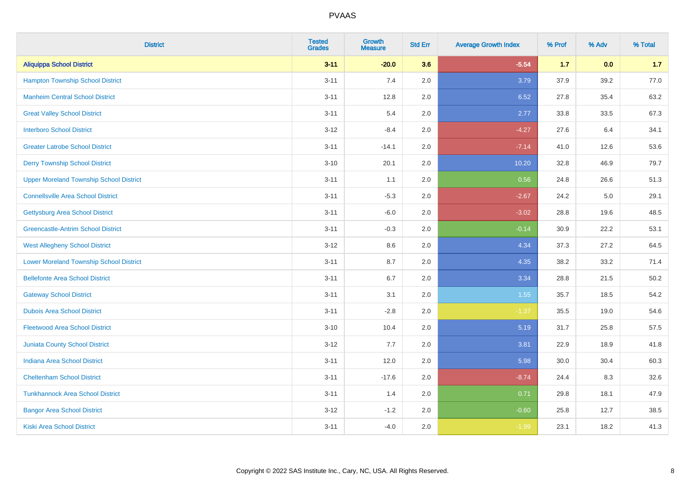| <b>District</b>                                | <b>Tested</b><br><b>Grades</b> | <b>Growth</b><br><b>Measure</b> | <b>Std Err</b> | <b>Average Growth Index</b> | % Prof | % Adv | % Total |
|------------------------------------------------|--------------------------------|---------------------------------|----------------|-----------------------------|--------|-------|---------|
| <b>Aliquippa School District</b>               | $3 - 11$                       | $-20.0$                         | 3.6            | $-5.54$                     | $1.7$  | 0.0   | 1.7     |
| <b>Hampton Township School District</b>        | $3 - 11$                       | 7.4                             | 2.0            | 3.79                        | 37.9   | 39.2  | 77.0    |
| <b>Manheim Central School District</b>         | $3 - 11$                       | 12.8                            | 2.0            | 6.52                        | 27.8   | 35.4  | 63.2    |
| <b>Great Valley School District</b>            | $3 - 11$                       | 5.4                             | 2.0            | 2.77                        | 33.8   | 33.5  | 67.3    |
| <b>Interboro School District</b>               | $3 - 12$                       | $-8.4$                          | 2.0            | $-4.27$                     | 27.6   | 6.4   | 34.1    |
| <b>Greater Latrobe School District</b>         | $3 - 11$                       | $-14.1$                         | 2.0            | $-7.14$                     | 41.0   | 12.6  | 53.6    |
| <b>Derry Township School District</b>          | $3 - 10$                       | 20.1                            | 2.0            | 10.20                       | 32.8   | 46.9  | 79.7    |
| <b>Upper Moreland Township School District</b> | $3 - 11$                       | 1.1                             | 2.0            | 0.56                        | 24.8   | 26.6  | 51.3    |
| <b>Connellsville Area School District</b>      | $3 - 11$                       | $-5.3$                          | 2.0            | $-2.67$                     | 24.2   | 5.0   | 29.1    |
| <b>Gettysburg Area School District</b>         | $3 - 11$                       | $-6.0$                          | 2.0            | $-3.02$                     | 28.8   | 19.6  | 48.5    |
| <b>Greencastle-Antrim School District</b>      | $3 - 11$                       | $-0.3$                          | 2.0            | $-0.14$                     | 30.9   | 22.2  | 53.1    |
| <b>West Allegheny School District</b>          | $3 - 12$                       | 8.6                             | 2.0            | 4.34                        | 37.3   | 27.2  | 64.5    |
| <b>Lower Moreland Township School District</b> | $3 - 11$                       | 8.7                             | 2.0            | 4.35                        | 38.2   | 33.2  | 71.4    |
| <b>Bellefonte Area School District</b>         | $3 - 11$                       | 6.7                             | 2.0            | 3.34                        | 28.8   | 21.5  | 50.2    |
| <b>Gateway School District</b>                 | $3 - 11$                       | 3.1                             | 2.0            | 1.55                        | 35.7   | 18.5  | 54.2    |
| <b>Dubois Area School District</b>             | $3 - 11$                       | $-2.8$                          | 2.0            | $-1.37$                     | 35.5   | 19.0  | 54.6    |
| <b>Fleetwood Area School District</b>          | $3 - 10$                       | 10.4                            | 2.0            | 5.19                        | 31.7   | 25.8  | 57.5    |
| <b>Juniata County School District</b>          | $3 - 12$                       | 7.7                             | 2.0            | 3.81                        | 22.9   | 18.9  | 41.8    |
| <b>Indiana Area School District</b>            | $3 - 11$                       | 12.0                            | 2.0            | 5.98                        | 30.0   | 30.4  | 60.3    |
| <b>Cheltenham School District</b>              | $3 - 11$                       | $-17.6$                         | 2.0            | $-8.74$                     | 24.4   | 8.3   | 32.6    |
| <b>Tunkhannock Area School District</b>        | $3 - 11$                       | 1.4                             | 2.0            | 0.71                        | 29.8   | 18.1  | 47.9    |
| <b>Bangor Area School District</b>             | $3 - 12$                       | $-1.2$                          | 2.0            | $-0.60$                     | 25.8   | 12.7  | 38.5    |
| Kiski Area School District                     | $3 - 11$                       | $-4.0$                          | 2.0            | $-1.99$                     | 23.1   | 18.2  | 41.3    |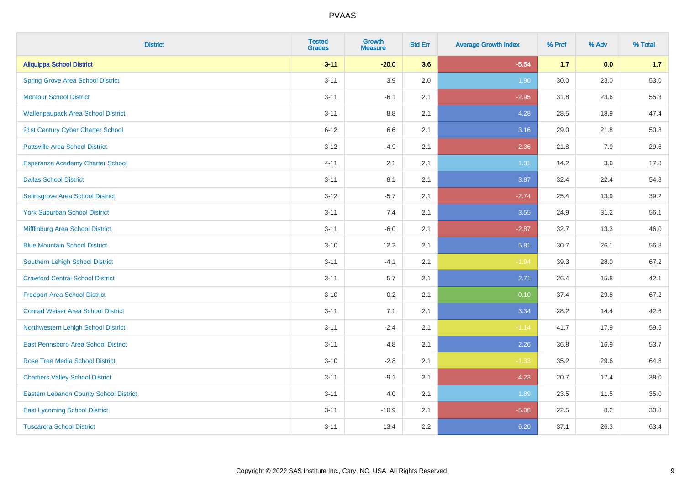| <b>District</b>                               | <b>Tested</b><br><b>Grades</b> | <b>Growth</b><br><b>Measure</b> | <b>Std Err</b> | <b>Average Growth Index</b> | % Prof | % Adv | % Total |
|-----------------------------------------------|--------------------------------|---------------------------------|----------------|-----------------------------|--------|-------|---------|
| <b>Aliquippa School District</b>              | $3 - 11$                       | $-20.0$                         | 3.6            | $-5.54$                     | $1.7$  | 0.0   | 1.7     |
| <b>Spring Grove Area School District</b>      | $3 - 11$                       | 3.9                             | 2.0            | 1.90                        | 30.0   | 23.0  | 53.0    |
| <b>Montour School District</b>                | $3 - 11$                       | $-6.1$                          | 2.1            | $-2.95$                     | 31.8   | 23.6  | 55.3    |
| <b>Wallenpaupack Area School District</b>     | $3 - 11$                       | $8.8\,$                         | 2.1            | 4.28                        | 28.5   | 18.9  | 47.4    |
| 21st Century Cyber Charter School             | $6 - 12$                       | 6.6                             | 2.1            | 3.16                        | 29.0   | 21.8  | 50.8    |
| <b>Pottsville Area School District</b>        | $3 - 12$                       | $-4.9$                          | 2.1            | $-2.36$                     | 21.8   | 7.9   | 29.6    |
| Esperanza Academy Charter School              | $4 - 11$                       | 2.1                             | 2.1            | 1.01                        | 14.2   | 3.6   | 17.8    |
| <b>Dallas School District</b>                 | $3 - 11$                       | 8.1                             | 2.1            | 3.87                        | 32.4   | 22.4  | 54.8    |
| Selinsgrove Area School District              | $3-12$                         | $-5.7$                          | 2.1            | $-2.74$                     | 25.4   | 13.9  | 39.2    |
| <b>York Suburban School District</b>          | $3 - 11$                       | 7.4                             | 2.1            | 3.55                        | 24.9   | 31.2  | 56.1    |
| Mifflinburg Area School District              | $3 - 11$                       | $-6.0$                          | 2.1            | $-2.87$                     | 32.7   | 13.3  | 46.0    |
| <b>Blue Mountain School District</b>          | $3 - 10$                       | 12.2                            | 2.1            | 5.81                        | 30.7   | 26.1  | 56.8    |
| <b>Southern Lehigh School District</b>        | $3 - 11$                       | $-4.1$                          | 2.1            | $-1.94$                     | 39.3   | 28.0  | 67.2    |
| <b>Crawford Central School District</b>       | $3 - 11$                       | 5.7                             | 2.1            | 2.71                        | 26.4   | 15.8  | 42.1    |
| <b>Freeport Area School District</b>          | $3 - 10$                       | $-0.2$                          | 2.1            | $-0.10$                     | 37.4   | 29.8  | 67.2    |
| <b>Conrad Weiser Area School District</b>     | $3 - 11$                       | 7.1                             | 2.1            | 3.34                        | 28.2   | 14.4  | 42.6    |
| Northwestern Lehigh School District           | $3 - 11$                       | $-2.4$                          | 2.1            | $-1.14$                     | 41.7   | 17.9  | 59.5    |
| East Pennsboro Area School District           | $3 - 11$                       | 4.8                             | 2.1            | 2.26                        | 36.8   | 16.9  | 53.7    |
| <b>Rose Tree Media School District</b>        | $3 - 10$                       | $-2.8$                          | 2.1            | $-1.33$                     | 35.2   | 29.6  | 64.8    |
| <b>Chartiers Valley School District</b>       | $3 - 11$                       | $-9.1$                          | 2.1            | $-4.23$                     | 20.7   | 17.4  | 38.0    |
| <b>Eastern Lebanon County School District</b> | $3 - 11$                       | 4.0                             | 2.1            | 1.89                        | 23.5   | 11.5  | 35.0    |
| <b>East Lycoming School District</b>          | $3 - 11$                       | $-10.9$                         | 2.1            | $-5.08$                     | 22.5   | 8.2   | 30.8    |
| <b>Tuscarora School District</b>              | $3 - 11$                       | 13.4                            | 2.2            | 6.20                        | 37.1   | 26.3  | 63.4    |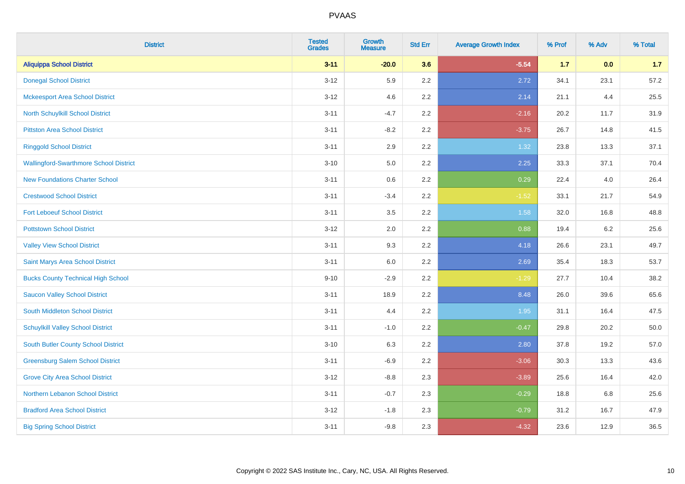| <b>District</b>                               | <b>Tested</b><br><b>Grades</b> | <b>Growth</b><br><b>Measure</b> | <b>Std Err</b> | <b>Average Growth Index</b> | % Prof | % Adv   | % Total |
|-----------------------------------------------|--------------------------------|---------------------------------|----------------|-----------------------------|--------|---------|---------|
| <b>Aliquippa School District</b>              | $3 - 11$                       | $-20.0$                         | 3.6            | $-5.54$                     | $1.7$  | 0.0     | 1.7     |
| <b>Donegal School District</b>                | $3 - 12$                       | 5.9                             | 2.2            | 2.72                        | 34.1   | 23.1    | 57.2    |
| <b>Mckeesport Area School District</b>        | $3 - 12$                       | 4.6                             | 2.2            | 2.14                        | 21.1   | 4.4     | 25.5    |
| North Schuylkill School District              | $3 - 11$                       | $-4.7$                          | 2.2            | $-2.16$                     | 20.2   | 11.7    | 31.9    |
| <b>Pittston Area School District</b>          | $3 - 11$                       | $-8.2$                          | 2.2            | $-3.75$                     | 26.7   | 14.8    | 41.5    |
| <b>Ringgold School District</b>               | $3 - 11$                       | 2.9                             | 2.2            | 1.32                        | 23.8   | 13.3    | 37.1    |
| <b>Wallingford-Swarthmore School District</b> | $3 - 10$                       | 5.0                             | 2.2            | 2.25                        | 33.3   | 37.1    | 70.4    |
| <b>New Foundations Charter School</b>         | $3 - 11$                       | 0.6                             | 2.2            | 0.29                        | 22.4   | 4.0     | 26.4    |
| <b>Crestwood School District</b>              | $3 - 11$                       | $-3.4$                          | 2.2            | $-1.52$                     | 33.1   | 21.7    | 54.9    |
| <b>Fort Leboeuf School District</b>           | $3 - 11$                       | 3.5                             | 2.2            | 1.58                        | 32.0   | 16.8    | 48.8    |
| <b>Pottstown School District</b>              | $3 - 12$                       | 2.0                             | 2.2            | 0.88                        | 19.4   | $6.2\,$ | 25.6    |
| <b>Valley View School District</b>            | $3 - 11$                       | 9.3                             | 2.2            | 4.18                        | 26.6   | 23.1    | 49.7    |
| Saint Marys Area School District              | $3 - 11$                       | 6.0                             | 2.2            | 2.69                        | 35.4   | 18.3    | 53.7    |
| <b>Bucks County Technical High School</b>     | $9 - 10$                       | $-2.9$                          | 2.2            | $-1.29$                     | 27.7   | 10.4    | 38.2    |
| <b>Saucon Valley School District</b>          | $3 - 11$                       | 18.9                            | 2.2            | 8.48                        | 26.0   | 39.6    | 65.6    |
| South Middleton School District               | $3 - 11$                       | 4.4                             | 2.2            | 1.95                        | 31.1   | 16.4    | 47.5    |
| <b>Schuylkill Valley School District</b>      | $3 - 11$                       | $-1.0$                          | 2.2            | $-0.47$                     | 29.8   | 20.2    | 50.0    |
| South Butler County School District           | $3 - 10$                       | 6.3                             | 2.2            | 2.80                        | 37.8   | 19.2    | 57.0    |
| <b>Greensburg Salem School District</b>       | $3 - 11$                       | $-6.9$                          | 2.2            | $-3.06$                     | 30.3   | 13.3    | 43.6    |
| <b>Grove City Area School District</b>        | $3-12$                         | $-8.8$                          | 2.3            | $-3.89$                     | 25.6   | 16.4    | 42.0    |
| Northern Lebanon School District              | $3 - 11$                       | $-0.7$                          | 2.3            | $-0.29$                     | 18.8   | 6.8     | 25.6    |
| <b>Bradford Area School District</b>          | $3-12$                         | $-1.8$                          | 2.3            | $-0.79$                     | 31.2   | 16.7    | 47.9    |
| <b>Big Spring School District</b>             | $3 - 11$                       | $-9.8$                          | 2.3            | $-4.32$                     | 23.6   | 12.9    | 36.5    |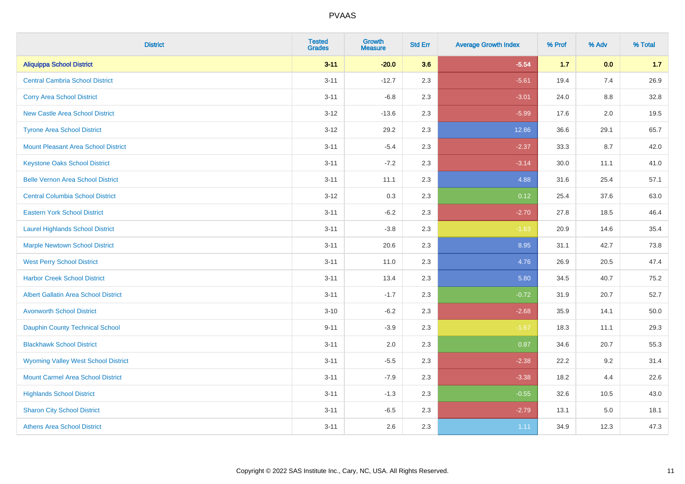| <b>District</b>                             | <b>Tested</b><br><b>Grades</b> | <b>Growth</b><br><b>Measure</b> | <b>Std Err</b> | <b>Average Growth Index</b> | % Prof | % Adv   | % Total |
|---------------------------------------------|--------------------------------|---------------------------------|----------------|-----------------------------|--------|---------|---------|
| <b>Aliquippa School District</b>            | $3 - 11$                       | $-20.0$                         | 3.6            | $-5.54$                     | $1.7$  | 0.0     | 1.7     |
| <b>Central Cambria School District</b>      | $3 - 11$                       | $-12.7$                         | 2.3            | $-5.61$                     | 19.4   | 7.4     | 26.9    |
| <b>Corry Area School District</b>           | $3 - 11$                       | $-6.8$                          | 2.3            | $-3.01$                     | 24.0   | $8.8\,$ | 32.8    |
| <b>New Castle Area School District</b>      | $3-12$                         | $-13.6$                         | 2.3            | $-5.99$                     | 17.6   | $2.0\,$ | 19.5    |
| <b>Tyrone Area School District</b>          | $3 - 12$                       | 29.2                            | 2.3            | 12.86                       | 36.6   | 29.1    | 65.7    |
| <b>Mount Pleasant Area School District</b>  | $3 - 11$                       | $-5.4$                          | 2.3            | $-2.37$                     | 33.3   | 8.7     | 42.0    |
| <b>Keystone Oaks School District</b>        | $3 - 11$                       | $-7.2$                          | 2.3            | $-3.14$                     | 30.0   | 11.1    | 41.0    |
| <b>Belle Vernon Area School District</b>    | $3 - 11$                       | 11.1                            | 2.3            | 4.88                        | 31.6   | 25.4    | 57.1    |
| <b>Central Columbia School District</b>     | $3 - 12$                       | 0.3                             | 2.3            | 0.12                        | 25.4   | 37.6    | 63.0    |
| <b>Eastern York School District</b>         | $3 - 11$                       | $-6.2$                          | 2.3            | $-2.70$                     | 27.8   | 18.5    | 46.4    |
| <b>Laurel Highlands School District</b>     | $3 - 11$                       | $-3.8$                          | 2.3            | $-1.63$                     | 20.9   | 14.6    | 35.4    |
| <b>Marple Newtown School District</b>       | $3 - 11$                       | 20.6                            | 2.3            | 8.95                        | 31.1   | 42.7    | 73.8    |
| <b>West Perry School District</b>           | $3 - 11$                       | 11.0                            | 2.3            | 4.76                        | 26.9   | 20.5    | 47.4    |
| <b>Harbor Creek School District</b>         | $3 - 11$                       | 13.4                            | 2.3            | 5.80                        | 34.5   | 40.7    | 75.2    |
| <b>Albert Gallatin Area School District</b> | $3 - 11$                       | $-1.7$                          | 2.3            | $-0.72$                     | 31.9   | 20.7    | 52.7    |
| <b>Avonworth School District</b>            | $3 - 10$                       | $-6.2$                          | 2.3            | $-2.68$                     | 35.9   | 14.1    | 50.0    |
| <b>Dauphin County Technical School</b>      | $9 - 11$                       | $-3.9$                          | 2.3            | $-1.67$                     | 18.3   | 11.1    | 29.3    |
| <b>Blackhawk School District</b>            | $3 - 11$                       | 2.0                             | 2.3            | 0.87                        | 34.6   | 20.7    | 55.3    |
| <b>Wyoming Valley West School District</b>  | $3 - 11$                       | $-5.5$                          | 2.3            | $-2.38$                     | 22.2   | 9.2     | 31.4    |
| <b>Mount Carmel Area School District</b>    | $3 - 11$                       | $-7.9$                          | 2.3            | $-3.38$                     | 18.2   | 4.4     | 22.6    |
| <b>Highlands School District</b>            | $3 - 11$                       | $-1.3$                          | 2.3            | $-0.55$                     | 32.6   | 10.5    | 43.0    |
| <b>Sharon City School District</b>          | $3 - 11$                       | $-6.5$                          | 2.3            | $-2.79$                     | 13.1   | 5.0     | 18.1    |
| <b>Athens Area School District</b>          | $3 - 11$                       | 2.6                             | 2.3            | 1.11                        | 34.9   | 12.3    | 47.3    |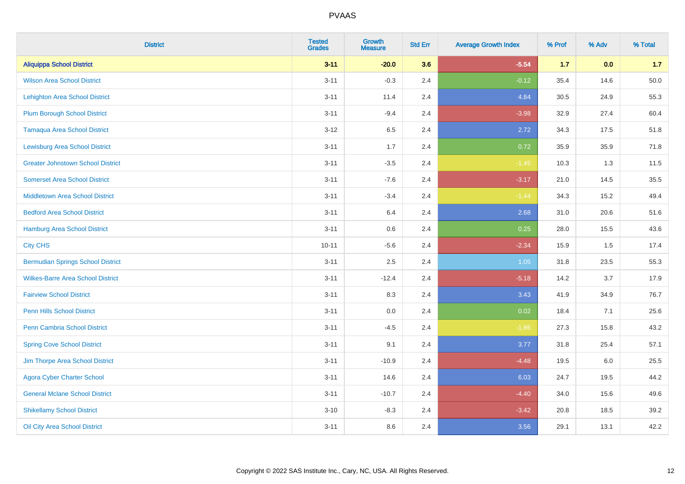| <b>District</b>                          | <b>Tested</b><br><b>Grades</b> | <b>Growth</b><br><b>Measure</b> | <b>Std Err</b> | <b>Average Growth Index</b> | % Prof | % Adv | % Total |
|------------------------------------------|--------------------------------|---------------------------------|----------------|-----------------------------|--------|-------|---------|
| <b>Aliquippa School District</b>         | $3 - 11$                       | $-20.0$                         | 3.6            | $-5.54$                     | $1.7$  | 0.0   | 1.7     |
| <b>Wilson Area School District</b>       | $3 - 11$                       | $-0.3$                          | 2.4            | $-0.12$                     | 35.4   | 14.6  | 50.0    |
| <b>Lehighton Area School District</b>    | $3 - 11$                       | 11.4                            | 2.4            | 4.84                        | 30.5   | 24.9  | 55.3    |
| Plum Borough School District             | $3 - 11$                       | $-9.4$                          | 2.4            | $-3.98$                     | 32.9   | 27.4  | 60.4    |
| <b>Tamaqua Area School District</b>      | $3 - 12$                       | 6.5                             | 2.4            | 2.72                        | 34.3   | 17.5  | 51.8    |
| <b>Lewisburg Area School District</b>    | $3 - 11$                       | 1.7                             | 2.4            | 0.72                        | 35.9   | 35.9  | 71.8    |
| <b>Greater Johnstown School District</b> | $3 - 11$                       | $-3.5$                          | 2.4            | $-1.45$                     | 10.3   | 1.3   | 11.5    |
| <b>Somerset Area School District</b>     | $3 - 11$                       | $-7.6$                          | 2.4            | $-3.17$                     | 21.0   | 14.5  | 35.5    |
| <b>Middletown Area School District</b>   | $3 - 11$                       | $-3.4$                          | 2.4            | $-1.44$                     | 34.3   | 15.2  | 49.4    |
| <b>Bedford Area School District</b>      | $3 - 11$                       | 6.4                             | 2.4            | 2.68                        | 31.0   | 20.6  | 51.6    |
| Hamburg Area School District             | $3 - 11$                       | 0.6                             | 2.4            | 0.25                        | 28.0   | 15.5  | 43.6    |
| <b>City CHS</b>                          | $10 - 11$                      | $-5.6$                          | 2.4            | $-2.34$                     | 15.9   | 1.5   | 17.4    |
| <b>Bermudian Springs School District</b> | $3 - 11$                       | 2.5                             | 2.4            | 1.05                        | 31.8   | 23.5  | 55.3    |
| <b>Wilkes-Barre Area School District</b> | $3 - 11$                       | $-12.4$                         | 2.4            | $-5.18$                     | 14.2   | 3.7   | 17.9    |
| <b>Fairview School District</b>          | $3 - 11$                       | 8.3                             | 2.4            | 3.43                        | 41.9   | 34.9  | 76.7    |
| <b>Penn Hills School District</b>        | $3 - 11$                       | 0.0                             | 2.4            | 0.02                        | 18.4   | 7.1   | 25.6    |
| <b>Penn Cambria School District</b>      | $3 - 11$                       | $-4.5$                          | 2.4            | $-1.86$                     | 27.3   | 15.8  | 43.2    |
| <b>Spring Cove School District</b>       | $3 - 11$                       | 9.1                             | 2.4            | 3.77                        | 31.8   | 25.4  | 57.1    |
| Jim Thorpe Area School District          | $3 - 11$                       | $-10.9$                         | 2.4            | $-4.48$                     | 19.5   | 6.0   | 25.5    |
| <b>Agora Cyber Charter School</b>        | $3 - 11$                       | 14.6                            | 2.4            | 6.03                        | 24.7   | 19.5  | 44.2    |
| <b>General Mclane School District</b>    | $3 - 11$                       | $-10.7$                         | 2.4            | $-4.40$                     | 34.0   | 15.6  | 49.6    |
| <b>Shikellamy School District</b>        | $3 - 10$                       | $-8.3$                          | 2.4            | $-3.42$                     | 20.8   | 18.5  | 39.2    |
| Oil City Area School District            | $3 - 11$                       | 8.6                             | 2.4            | 3.56                        | 29.1   | 13.1  | 42.2    |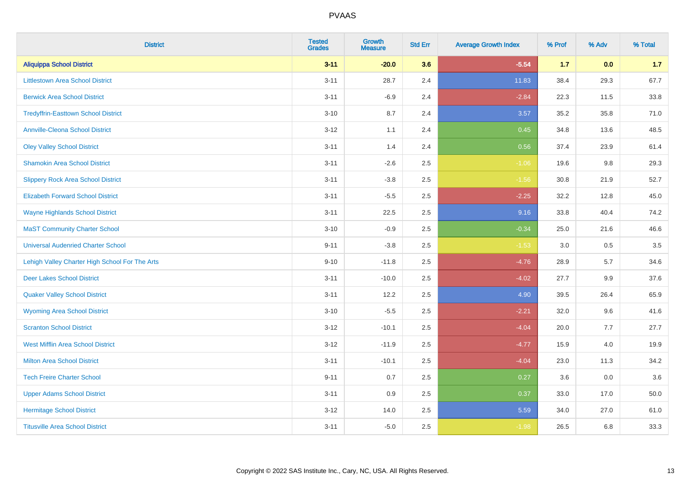| <b>District</b>                                | <b>Tested</b><br><b>Grades</b> | <b>Growth</b><br><b>Measure</b> | <b>Std Err</b> | <b>Average Growth Index</b> | % Prof | % Adv | % Total |
|------------------------------------------------|--------------------------------|---------------------------------|----------------|-----------------------------|--------|-------|---------|
| <b>Aliquippa School District</b>               | $3 - 11$                       | $-20.0$                         | 3.6            | $-5.54$                     | $1.7$  | 0.0   | 1.7     |
| <b>Littlestown Area School District</b>        | $3 - 11$                       | 28.7                            | 2.4            | 11.83                       | 38.4   | 29.3  | 67.7    |
| <b>Berwick Area School District</b>            | $3 - 11$                       | $-6.9$                          | 2.4            | $-2.84$                     | 22.3   | 11.5  | 33.8    |
| <b>Tredyffrin-Easttown School District</b>     | $3 - 10$                       | 8.7                             | 2.4            | 3.57                        | 35.2   | 35.8  | 71.0    |
| <b>Annville-Cleona School District</b>         | $3 - 12$                       | 1.1                             | 2.4            | 0.45                        | 34.8   | 13.6  | 48.5    |
| <b>Oley Valley School District</b>             | $3 - 11$                       | 1.4                             | 2.4            | 0.56                        | 37.4   | 23.9  | 61.4    |
| <b>Shamokin Area School District</b>           | $3 - 11$                       | $-2.6$                          | 2.5            | $-1.06$                     | 19.6   | 9.8   | 29.3    |
| <b>Slippery Rock Area School District</b>      | $3 - 11$                       | $-3.8$                          | 2.5            | $-1.56$                     | 30.8   | 21.9  | 52.7    |
| <b>Elizabeth Forward School District</b>       | $3 - 11$                       | $-5.5$                          | 2.5            | $-2.25$                     | 32.2   | 12.8  | 45.0    |
| <b>Wayne Highlands School District</b>         | $3 - 11$                       | 22.5                            | 2.5            | 9.16                        | 33.8   | 40.4  | 74.2    |
| <b>MaST Community Charter School</b>           | $3 - 10$                       | $-0.9$                          | 2.5            | $-0.34$                     | 25.0   | 21.6  | 46.6    |
| <b>Universal Audenried Charter School</b>      | $9 - 11$                       | $-3.8$                          | 2.5            | $-1.53$                     | 3.0    | 0.5   | 3.5     |
| Lehigh Valley Charter High School For The Arts | $9 - 10$                       | $-11.8$                         | 2.5            | $-4.76$                     | 28.9   | 5.7   | 34.6    |
| <b>Deer Lakes School District</b>              | $3 - 11$                       | $-10.0$                         | 2.5            | $-4.02$                     | 27.7   | 9.9   | 37.6    |
| <b>Quaker Valley School District</b>           | $3 - 11$                       | 12.2                            | 2.5            | 4.90                        | 39.5   | 26.4  | 65.9    |
| <b>Wyoming Area School District</b>            | $3 - 10$                       | $-5.5$                          | 2.5            | $-2.21$                     | 32.0   | 9.6   | 41.6    |
| <b>Scranton School District</b>                | $3 - 12$                       | $-10.1$                         | 2.5            | $-4.04$                     | 20.0   | 7.7   | 27.7    |
| <b>West Mifflin Area School District</b>       | $3 - 12$                       | $-11.9$                         | 2.5            | $-4.77$                     | 15.9   | 4.0   | 19.9    |
| <b>Milton Area School District</b>             | $3 - 11$                       | $-10.1$                         | 2.5            | $-4.04$                     | 23.0   | 11.3  | 34.2    |
| <b>Tech Freire Charter School</b>              | $9 - 11$                       | 0.7                             | 2.5            | 0.27                        | 3.6    | 0.0   | 3.6     |
| <b>Upper Adams School District</b>             | $3 - 11$                       | 0.9                             | 2.5            | 0.37                        | 33.0   | 17.0  | 50.0    |
| <b>Hermitage School District</b>               | $3 - 12$                       | 14.0                            | 2.5            | 5.59                        | 34.0   | 27.0  | 61.0    |
| <b>Titusville Area School District</b>         | $3 - 11$                       | $-5.0$                          | 2.5            | $-1.98$                     | 26.5   | 6.8   | 33.3    |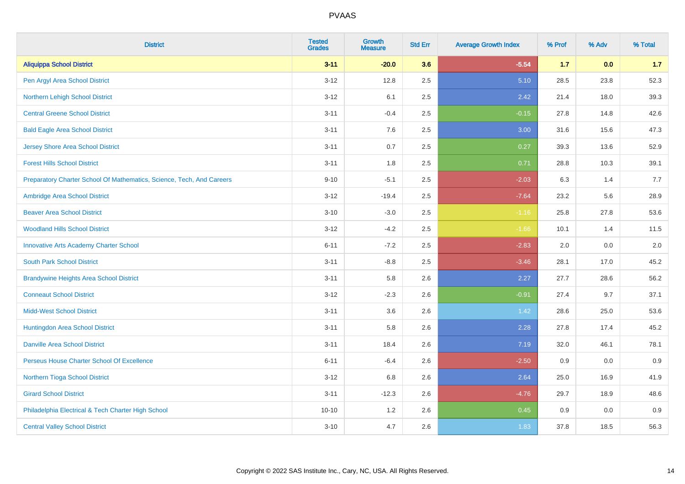| <b>District</b>                                                       | <b>Tested</b><br><b>Grades</b> | <b>Growth</b><br><b>Measure</b> | <b>Std Err</b> | <b>Average Growth Index</b> | % Prof | % Adv | % Total |
|-----------------------------------------------------------------------|--------------------------------|---------------------------------|----------------|-----------------------------|--------|-------|---------|
| <b>Aliquippa School District</b>                                      | $3 - 11$                       | $-20.0$                         | 3.6            | $-5.54$                     | 1.7    | 0.0   | 1.7     |
| Pen Argyl Area School District                                        | $3 - 12$                       | 12.8                            | 2.5            | 5.10                        | 28.5   | 23.8  | 52.3    |
| Northern Lehigh School District                                       | $3 - 12$                       | 6.1                             | 2.5            | 2.42                        | 21.4   | 18.0  | 39.3    |
| <b>Central Greene School District</b>                                 | $3 - 11$                       | $-0.4$                          | 2.5            | $-0.15$                     | 27.8   | 14.8  | 42.6    |
| <b>Bald Eagle Area School District</b>                                | $3 - 11$                       | 7.6                             | 2.5            | 3.00                        | 31.6   | 15.6  | 47.3    |
| <b>Jersey Shore Area School District</b>                              | $3 - 11$                       | 0.7                             | 2.5            | 0.27                        | 39.3   | 13.6  | 52.9    |
| <b>Forest Hills School District</b>                                   | $3 - 11$                       | 1.8                             | 2.5            | 0.71                        | 28.8   | 10.3  | 39.1    |
| Preparatory Charter School Of Mathematics, Science, Tech, And Careers | $9 - 10$                       | $-5.1$                          | 2.5            | $-2.03$                     | 6.3    | 1.4   | 7.7     |
| Ambridge Area School District                                         | $3 - 12$                       | $-19.4$                         | 2.5            | $-7.64$                     | 23.2   | 5.6   | 28.9    |
| <b>Beaver Area School District</b>                                    | $3 - 10$                       | $-3.0$                          | $2.5\,$        | $-1.16$                     | 25.8   | 27.8  | 53.6    |
| <b>Woodland Hills School District</b>                                 | $3 - 12$                       | $-4.2$                          | 2.5            | $-1.66$                     | 10.1   | 1.4   | 11.5    |
| <b>Innovative Arts Academy Charter School</b>                         | $6 - 11$                       | $-7.2$                          | 2.5            | $-2.83$                     | 2.0    | 0.0   | 2.0     |
| <b>South Park School District</b>                                     | $3 - 11$                       | $-8.8$                          | 2.5            | $-3.46$                     | 28.1   | 17.0  | 45.2    |
| <b>Brandywine Heights Area School District</b>                        | $3 - 11$                       | 5.8                             | 2.6            | 2.27                        | 27.7   | 28.6  | 56.2    |
| <b>Conneaut School District</b>                                       | $3 - 12$                       | $-2.3$                          | 2.6            | $-0.91$                     | 27.4   | 9.7   | 37.1    |
| <b>Midd-West School District</b>                                      | $3 - 11$                       | 3.6                             | 2.6            | 1.42                        | 28.6   | 25.0  | 53.6    |
| Huntingdon Area School District                                       | $3 - 11$                       | 5.8                             | 2.6            | 2.28                        | 27.8   | 17.4  | 45.2    |
| <b>Danville Area School District</b>                                  | $3 - 11$                       | 18.4                            | 2.6            | 7.19                        | 32.0   | 46.1  | 78.1    |
| Perseus House Charter School Of Excellence                            | $6 - 11$                       | $-6.4$                          | 2.6            | $-2.50$                     | 0.9    | 0.0   | 0.9     |
| Northern Tioga School District                                        | $3 - 12$                       | 6.8                             | 2.6            | 2.64                        | 25.0   | 16.9  | 41.9    |
| <b>Girard School District</b>                                         | $3 - 11$                       | $-12.3$                         | 2.6            | $-4.76$                     | 29.7   | 18.9  | 48.6    |
| Philadelphia Electrical & Tech Charter High School                    | $10 - 10$                      | 1.2                             | 2.6            | 0.45                        | 0.9    | 0.0   | 0.9     |
| <b>Central Valley School District</b>                                 | $3 - 10$                       | 4.7                             | 2.6            | 1.83                        | 37.8   | 18.5  | 56.3    |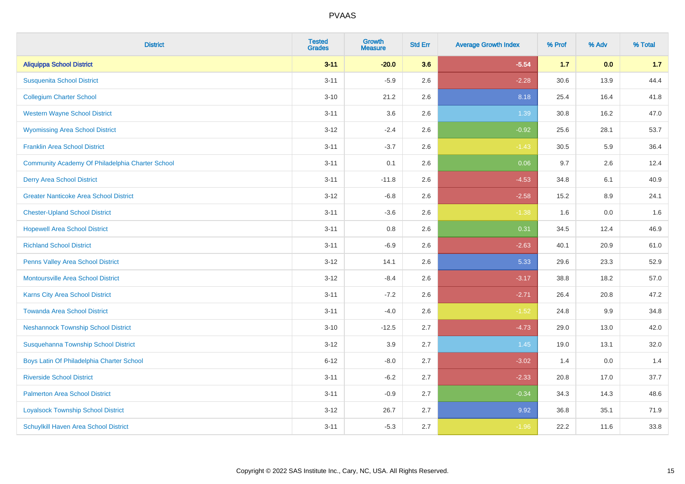| <b>District</b>                                  | <b>Tested</b><br><b>Grades</b> | <b>Growth</b><br><b>Measure</b> | <b>Std Err</b> | <b>Average Growth Index</b> | % Prof | % Adv | % Total |
|--------------------------------------------------|--------------------------------|---------------------------------|----------------|-----------------------------|--------|-------|---------|
| <b>Aliquippa School District</b>                 | $3 - 11$                       | $-20.0$                         | 3.6            | $-5.54$                     | $1.7$  | 0.0   | 1.7     |
| <b>Susquenita School District</b>                | $3 - 11$                       | $-5.9$                          | 2.6            | $-2.28$                     | 30.6   | 13.9  | 44.4    |
| <b>Collegium Charter School</b>                  | $3 - 10$                       | 21.2                            | 2.6            | 8.18                        | 25.4   | 16.4  | 41.8    |
| <b>Western Wayne School District</b>             | $3 - 11$                       | 3.6                             | 2.6            | 1.39                        | 30.8   | 16.2  | 47.0    |
| <b>Wyomissing Area School District</b>           | $3 - 12$                       | $-2.4$                          | 2.6            | $-0.92$                     | 25.6   | 28.1  | 53.7    |
| <b>Franklin Area School District</b>             | $3 - 11$                       | $-3.7$                          | 2.6            | $-1.43$                     | 30.5   | 5.9   | 36.4    |
| Community Academy Of Philadelphia Charter School | $3 - 11$                       | 0.1                             | 2.6            | 0.06                        | 9.7    | 2.6   | 12.4    |
| <b>Derry Area School District</b>                | $3 - 11$                       | $-11.8$                         | 2.6            | $-4.53$                     | 34.8   | 6.1   | 40.9    |
| <b>Greater Nanticoke Area School District</b>    | $3-12$                         | $-6.8$                          | 2.6            | $-2.58$                     | 15.2   | 8.9   | 24.1    |
| <b>Chester-Upland School District</b>            | $3 - 11$                       | $-3.6$                          | 2.6            | $-1.38$                     | 1.6    | 0.0   | 1.6     |
| <b>Hopewell Area School District</b>             | $3 - 11$                       | 0.8                             | 2.6            | 0.31                        | 34.5   | 12.4  | 46.9    |
| <b>Richland School District</b>                  | $3 - 11$                       | $-6.9$                          | 2.6            | $-2.63$                     | 40.1   | 20.9  | 61.0    |
| Penns Valley Area School District                | $3 - 12$                       | 14.1                            | 2.6            | 5.33                        | 29.6   | 23.3  | 52.9    |
| <b>Montoursville Area School District</b>        | $3-12$                         | $-8.4$                          | 2.6            | $-3.17$                     | 38.8   | 18.2  | 57.0    |
| Karns City Area School District                  | $3 - 11$                       | $-7.2$                          | 2.6            | $-2.71$                     | 26.4   | 20.8  | 47.2    |
| <b>Towanda Area School District</b>              | $3 - 11$                       | $-4.0$                          | 2.6            | $-1.52$                     | 24.8   | 9.9   | 34.8    |
| <b>Neshannock Township School District</b>       | $3 - 10$                       | $-12.5$                         | 2.7            | $-4.73$                     | 29.0   | 13.0  | 42.0    |
| Susquehanna Township School District             | $3-12$                         | 3.9                             | 2.7            | 1.45                        | 19.0   | 13.1  | 32.0    |
| Boys Latin Of Philadelphia Charter School        | $6 - 12$                       | $-8.0$                          | 2.7            | $-3.02$                     | 1.4    | 0.0   | 1.4     |
| <b>Riverside School District</b>                 | $3 - 11$                       | $-6.2$                          | 2.7            | $-2.33$                     | 20.8   | 17.0  | 37.7    |
| <b>Palmerton Area School District</b>            | $3 - 11$                       | $-0.9$                          | 2.7            | $-0.34$                     | 34.3   | 14.3  | 48.6    |
| <b>Loyalsock Township School District</b>        | $3 - 12$                       | 26.7                            | 2.7            | 9.92                        | 36.8   | 35.1  | 71.9    |
| <b>Schuylkill Haven Area School District</b>     | $3 - 11$                       | $-5.3$                          | 2.7            | $-1.96$                     | 22.2   | 11.6  | 33.8    |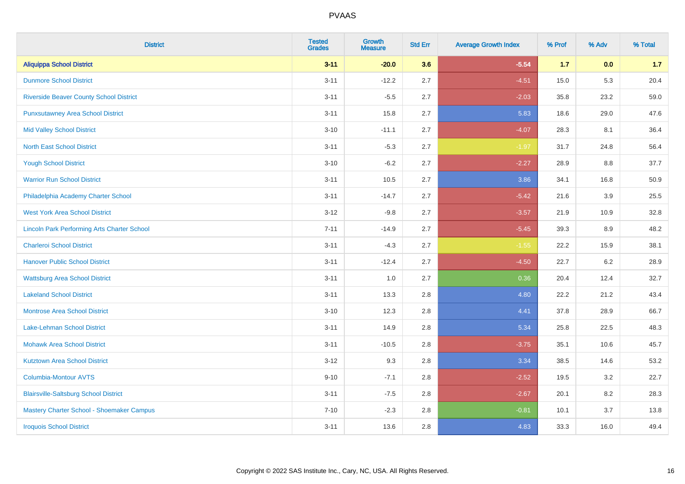| <b>District</b>                                    | <b>Tested</b><br><b>Grades</b> | <b>Growth</b><br><b>Measure</b> | <b>Std Err</b> | <b>Average Growth Index</b> | % Prof | % Adv | % Total |
|----------------------------------------------------|--------------------------------|---------------------------------|----------------|-----------------------------|--------|-------|---------|
| <b>Aliquippa School District</b>                   | $3 - 11$                       | $-20.0$                         | 3.6            | $-5.54$                     | $1.7$  | 0.0   | 1.7     |
| <b>Dunmore School District</b>                     | $3 - 11$                       | $-12.2$                         | 2.7            | $-4.51$                     | 15.0   | 5.3   | 20.4    |
| <b>Riverside Beaver County School District</b>     | $3 - 11$                       | $-5.5$                          | 2.7            | $-2.03$                     | 35.8   | 23.2  | 59.0    |
| <b>Punxsutawney Area School District</b>           | $3 - 11$                       | 15.8                            | 2.7            | 5.83                        | 18.6   | 29.0  | 47.6    |
| <b>Mid Valley School District</b>                  | $3 - 10$                       | $-11.1$                         | 2.7            | $-4.07$                     | 28.3   | 8.1   | 36.4    |
| <b>North East School District</b>                  | $3 - 11$                       | $-5.3$                          | 2.7            | $-1.97$                     | 31.7   | 24.8  | 56.4    |
| <b>Yough School District</b>                       | $3 - 10$                       | $-6.2$                          | 2.7            | $-2.27$                     | 28.9   | 8.8   | 37.7    |
| <b>Warrior Run School District</b>                 | $3 - 11$                       | 10.5                            | 2.7            | 3.86                        | 34.1   | 16.8  | 50.9    |
| Philadelphia Academy Charter School                | $3 - 11$                       | $-14.7$                         | 2.7            | $-5.42$                     | 21.6   | 3.9   | 25.5    |
| <b>West York Area School District</b>              | $3 - 12$                       | $-9.8$                          | 2.7            | $-3.57$                     | 21.9   | 10.9  | 32.8    |
| <b>Lincoln Park Performing Arts Charter School</b> | $7 - 11$                       | $-14.9$                         | 2.7            | $-5.45$                     | 39.3   | 8.9   | 48.2    |
| <b>Charleroi School District</b>                   | $3 - 11$                       | $-4.3$                          | 2.7            | $-1.55$                     | 22.2   | 15.9  | 38.1    |
| <b>Hanover Public School District</b>              | $3 - 11$                       | $-12.4$                         | 2.7            | $-4.50$                     | 22.7   | 6.2   | 28.9    |
| <b>Wattsburg Area School District</b>              | $3 - 11$                       | 1.0                             | 2.7            | 0.36                        | 20.4   | 12.4  | 32.7    |
| <b>Lakeland School District</b>                    | $3 - 11$                       | 13.3                            | 2.8            | 4.80                        | 22.2   | 21.2  | 43.4    |
| <b>Montrose Area School District</b>               | $3 - 10$                       | 12.3                            | 2.8            | 4.41                        | 37.8   | 28.9  | 66.7    |
| Lake-Lehman School District                        | $3 - 11$                       | 14.9                            | 2.8            | 5.34                        | 25.8   | 22.5  | 48.3    |
| <b>Mohawk Area School District</b>                 | $3 - 11$                       | $-10.5$                         | 2.8            | $-3.75$                     | 35.1   | 10.6  | 45.7    |
| <b>Kutztown Area School District</b>               | $3 - 12$                       | 9.3                             | 2.8            | 3.34                        | 38.5   | 14.6  | 53.2    |
| Columbia-Montour AVTS                              | $9 - 10$                       | $-7.1$                          | 2.8            | $-2.52$                     | 19.5   | 3.2   | 22.7    |
| <b>Blairsville-Saltsburg School District</b>       | $3 - 11$                       | $-7.5$                          | 2.8            | $-2.67$                     | 20.1   | 8.2   | 28.3    |
| Mastery Charter School - Shoemaker Campus          | $7 - 10$                       | $-2.3$                          | 2.8            | $-0.81$                     | 10.1   | 3.7   | 13.8    |
| <b>Iroquois School District</b>                    | $3 - 11$                       | 13.6                            | 2.8            | 4.83                        | 33.3   | 16.0  | 49.4    |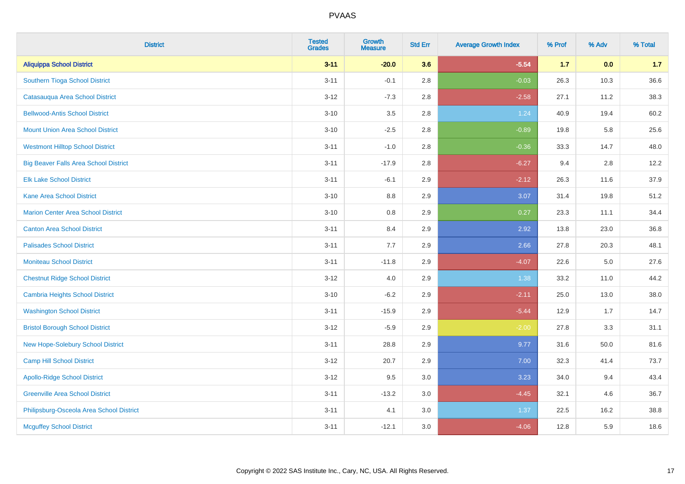| <b>District</b>                              | <b>Tested</b><br><b>Grades</b> | <b>Growth</b><br><b>Measure</b> | <b>Std Err</b> | <b>Average Growth Index</b> | % Prof | % Adv | % Total |
|----------------------------------------------|--------------------------------|---------------------------------|----------------|-----------------------------|--------|-------|---------|
| <b>Aliquippa School District</b>             | $3 - 11$                       | $-20.0$                         | 3.6            | $-5.54$                     | $1.7$  | 0.0   | 1.7     |
| Southern Tioga School District               | $3 - 11$                       | $-0.1$                          | 2.8            | $-0.03$                     | 26.3   | 10.3  | 36.6    |
| Catasauqua Area School District              | $3 - 12$                       | $-7.3$                          | 2.8            | $-2.58$                     | 27.1   | 11.2  | 38.3    |
| <b>Bellwood-Antis School District</b>        | $3 - 10$                       | $3.5\,$                         | 2.8            | 1.24                        | 40.9   | 19.4  | 60.2    |
| <b>Mount Union Area School District</b>      | $3 - 10$                       | $-2.5$                          | 2.8            | $-0.89$                     | 19.8   | 5.8   | 25.6    |
| <b>Westmont Hilltop School District</b>      | $3 - 11$                       | $-1.0$                          | 2.8            | $-0.36$                     | 33.3   | 14.7  | 48.0    |
| <b>Big Beaver Falls Area School District</b> | $3 - 11$                       | $-17.9$                         | 2.8            | $-6.27$                     | 9.4    | 2.8   | 12.2    |
| <b>Elk Lake School District</b>              | $3 - 11$                       | $-6.1$                          | 2.9            | $-2.12$                     | 26.3   | 11.6  | 37.9    |
| <b>Kane Area School District</b>             | $3 - 10$                       | 8.8                             | 2.9            | 3.07                        | 31.4   | 19.8  | 51.2    |
| <b>Marion Center Area School District</b>    | $3 - 10$                       | 0.8                             | 2.9            | 0.27                        | 23.3   | 11.1  | 34.4    |
| <b>Canton Area School District</b>           | $3 - 11$                       | 8.4                             | 2.9            | 2.92                        | 13.8   | 23.0  | 36.8    |
| <b>Palisades School District</b>             | $3 - 11$                       | 7.7                             | 2.9            | 2.66                        | 27.8   | 20.3  | 48.1    |
| <b>Moniteau School District</b>              | $3 - 11$                       | $-11.8$                         | 2.9            | $-4.07$                     | 22.6   | 5.0   | 27.6    |
| <b>Chestnut Ridge School District</b>        | $3 - 12$                       | 4.0                             | 2.9            | 1.38                        | 33.2   | 11.0  | 44.2    |
| Cambria Heights School District              | $3 - 10$                       | $-6.2$                          | 2.9            | $-2.11$                     | 25.0   | 13.0  | 38.0    |
| <b>Washington School District</b>            | $3 - 11$                       | $-15.9$                         | 2.9            | $-5.44$                     | 12.9   | 1.7   | 14.7    |
| <b>Bristol Borough School District</b>       | $3 - 12$                       | $-5.9$                          | 2.9            | $-2.00$                     | 27.8   | 3.3   | 31.1    |
| New Hope-Solebury School District            | $3 - 11$                       | 28.8                            | 2.9            | 9.77                        | 31.6   | 50.0  | 81.6    |
| <b>Camp Hill School District</b>             | $3 - 12$                       | 20.7                            | 2.9            | 7.00                        | 32.3   | 41.4  | 73.7    |
| <b>Apollo-Ridge School District</b>          | $3-12$                         | 9.5                             | 3.0            | 3.23                        | 34.0   | 9.4   | 43.4    |
| <b>Greenville Area School District</b>       | $3 - 11$                       | $-13.2$                         | 3.0            | $-4.45$                     | 32.1   | 4.6   | 36.7    |
| Philipsburg-Osceola Area School District     | $3 - 11$                       | 4.1                             | 3.0            | 1.37                        | 22.5   | 16.2  | 38.8    |
| <b>Mcguffey School District</b>              | $3 - 11$                       | $-12.1$                         | 3.0            | $-4.06$                     | 12.8   | 5.9   | 18.6    |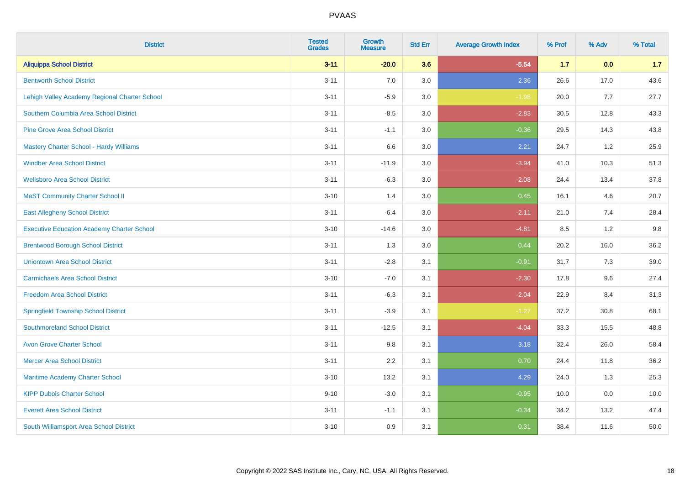| <b>District</b>                                   | <b>Tested</b><br><b>Grades</b> | <b>Growth</b><br><b>Measure</b> | <b>Std Err</b> | <b>Average Growth Index</b> | % Prof | % Adv | % Total |
|---------------------------------------------------|--------------------------------|---------------------------------|----------------|-----------------------------|--------|-------|---------|
| <b>Aliquippa School District</b>                  | $3 - 11$                       | $-20.0$                         | 3.6            | $-5.54$                     | 1.7    | 0.0   | 1.7     |
| <b>Bentworth School District</b>                  | $3 - 11$                       | 7.0                             | 3.0            | 2.36                        | 26.6   | 17.0  | 43.6    |
| Lehigh Valley Academy Regional Charter School     | $3 - 11$                       | $-5.9$                          | 3.0            | $-1.98$                     | 20.0   | 7.7   | 27.7    |
| Southern Columbia Area School District            | $3 - 11$                       | $-8.5$                          | 3.0            | $-2.83$                     | 30.5   | 12.8  | 43.3    |
| <b>Pine Grove Area School District</b>            | $3 - 11$                       | $-1.1$                          | 3.0            | $-0.36$                     | 29.5   | 14.3  | 43.8    |
| Mastery Charter School - Hardy Williams           | $3 - 11$                       | 6.6                             | 3.0            | 2.21                        | 24.7   | 1.2   | 25.9    |
| <b>Windber Area School District</b>               | $3 - 11$                       | $-11.9$                         | 3.0            | $-3.94$                     | 41.0   | 10.3  | 51.3    |
| <b>Wellsboro Area School District</b>             | $3 - 11$                       | $-6.3$                          | 3.0            | $-2.08$                     | 24.4   | 13.4  | 37.8    |
| <b>MaST Community Charter School II</b>           | $3 - 10$                       | 1.4                             | 3.0            | 0.45                        | 16.1   | 4.6   | 20.7    |
| <b>East Allegheny School District</b>             | $3 - 11$                       | $-6.4$                          | 3.0            | $-2.11$                     | 21.0   | 7.4   | 28.4    |
| <b>Executive Education Academy Charter School</b> | $3 - 10$                       | $-14.6$                         | 3.0            | $-4.81$                     | 8.5    | 1.2   | 9.8     |
| <b>Brentwood Borough School District</b>          | $3 - 11$                       | 1.3                             | 3.0            | 0.44                        | 20.2   | 16.0  | 36.2    |
| <b>Uniontown Area School District</b>             | $3 - 11$                       | $-2.8$                          | 3.1            | $-0.91$                     | 31.7   | 7.3   | 39.0    |
| <b>Carmichaels Area School District</b>           | $3 - 10$                       | $-7.0$                          | 3.1            | $-2.30$                     | 17.8   | 9.6   | 27.4    |
| <b>Freedom Area School District</b>               | $3 - 11$                       | $-6.3$                          | 3.1            | $-2.04$                     | 22.9   | 8.4   | 31.3    |
| <b>Springfield Township School District</b>       | $3 - 11$                       | $-3.9$                          | 3.1            | $-1.27$                     | 37.2   | 30.8  | 68.1    |
| <b>Southmoreland School District</b>              | $3 - 11$                       | $-12.5$                         | 3.1            | $-4.04$                     | 33.3   | 15.5  | 48.8    |
| <b>Avon Grove Charter School</b>                  | $3 - 11$                       | 9.8                             | 3.1            | 3.18                        | 32.4   | 26.0  | 58.4    |
| <b>Mercer Area School District</b>                | $3 - 11$                       | 2.2                             | 3.1            | 0.70                        | 24.4   | 11.8  | 36.2    |
| Maritime Academy Charter School                   | $3 - 10$                       | 13.2                            | 3.1            | 4.29                        | 24.0   | 1.3   | 25.3    |
| <b>KIPP Dubois Charter School</b>                 | $9 - 10$                       | $-3.0$                          | 3.1            | $-0.95$                     | 10.0   | 0.0   | 10.0    |
| <b>Everett Area School District</b>               | $3 - 11$                       | $-1.1$                          | 3.1            | $-0.34$                     | 34.2   | 13.2  | 47.4    |
| South Williamsport Area School District           | $3 - 10$                       | 0.9                             | 3.1            | 0.31                        | 38.4   | 11.6  | 50.0    |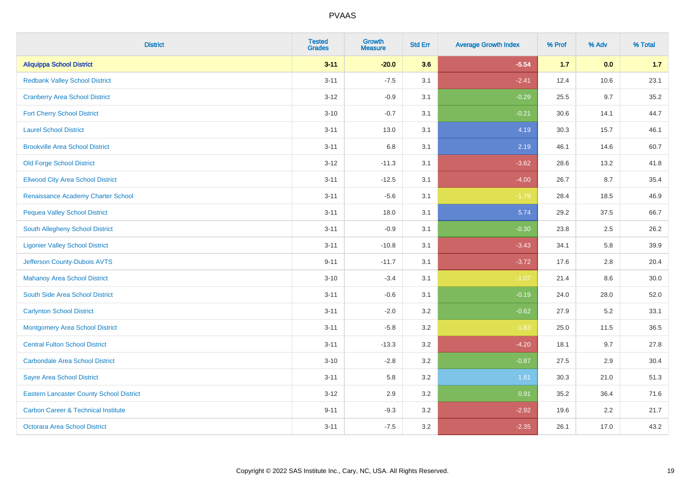| <b>District</b>                                 | <b>Tested</b><br><b>Grades</b> | <b>Growth</b><br><b>Measure</b> | <b>Std Err</b> | <b>Average Growth Index</b> | % Prof | % Adv | % Total |
|-------------------------------------------------|--------------------------------|---------------------------------|----------------|-----------------------------|--------|-------|---------|
| <b>Aliquippa School District</b>                | $3 - 11$                       | $-20.0$                         | 3.6            | $-5.54$                     | $1.7$  | 0.0   | $1.7$   |
| <b>Redbank Valley School District</b>           | $3 - 11$                       | $-7.5$                          | 3.1            | $-2.41$                     | 12.4   | 10.6  | 23.1    |
| <b>Cranberry Area School District</b>           | $3 - 12$                       | $-0.9$                          | 3.1            | $-0.29$                     | 25.5   | 9.7   | 35.2    |
| <b>Fort Cherry School District</b>              | $3 - 10$                       | $-0.7$                          | 3.1            | $-0.21$                     | 30.6   | 14.1  | 44.7    |
| <b>Laurel School District</b>                   | $3 - 11$                       | 13.0                            | 3.1            | 4.19                        | 30.3   | 15.7  | 46.1    |
| <b>Brookville Area School District</b>          | $3 - 11$                       | 6.8                             | 3.1            | 2.19                        | 46.1   | 14.6  | 60.7    |
| <b>Old Forge School District</b>                | $3-12$                         | $-11.3$                         | 3.1            | $-3.62$                     | 28.6   | 13.2  | 41.8    |
| <b>Ellwood City Area School District</b>        | $3 - 11$                       | $-12.5$                         | 3.1            | $-4.00$                     | 26.7   | 8.7   | 35.4    |
| Renaissance Academy Charter School              | $3 - 11$                       | $-5.6$                          | 3.1            | $-1.79$                     | 28.4   | 18.5  | 46.9    |
| <b>Pequea Valley School District</b>            | $3 - 11$                       | 18.0                            | 3.1            | 5.74                        | 29.2   | 37.5  | 66.7    |
| South Allegheny School District                 | $3 - 11$                       | $-0.9$                          | 3.1            | $-0.30$                     | 23.8   | 2.5   | 26.2    |
| <b>Ligonier Valley School District</b>          | $3 - 11$                       | $-10.8$                         | 3.1            | $-3.43$                     | 34.1   | 5.8   | 39.9    |
| Jefferson County-Dubois AVTS                    | $9 - 11$                       | $-11.7$                         | 3.1            | $-3.72$                     | 17.6   | 2.8   | 20.4    |
| <b>Mahanoy Area School District</b>             | $3 - 10$                       | $-3.4$                          | 3.1            | $-1.07$                     | 21.4   | 8.6   | 30.0    |
| South Side Area School District                 | $3 - 11$                       | $-0.6$                          | 3.1            | $-0.19$                     | 24.0   | 28.0  | 52.0    |
| <b>Carlynton School District</b>                | $3 - 11$                       | $-2.0$                          | 3.2            | $-0.62$                     | 27.9   | 5.2   | 33.1    |
| <b>Montgomery Area School District</b>          | $3 - 11$                       | $-5.8$                          | 3.2            | $-1.83$                     | 25.0   | 11.5  | 36.5    |
| <b>Central Fulton School District</b>           | $3 - 11$                       | $-13.3$                         | 3.2            | $-4.20$                     | 18.1   | 9.7   | 27.8    |
| <b>Carbondale Area School District</b>          | $3 - 10$                       | $-2.8$                          | 3.2            | $-0.87$                     | 27.5   | 2.9   | 30.4    |
| <b>Sayre Area School District</b>               | $3 - 11$                       | 5.8                             | 3.2            | 1.81                        | 30.3   | 21.0  | 51.3    |
| <b>Eastern Lancaster County School District</b> | $3 - 12$                       | 2.9                             | 3.2            | 0.91                        | 35.2   | 36.4  | 71.6    |
| <b>Carbon Career &amp; Technical Institute</b>  | $9 - 11$                       | $-9.3$                          | 3.2            | $-2.92$                     | 19.6   | 2.2   | 21.7    |
| <b>Octorara Area School District</b>            | $3 - 11$                       | $-7.5$                          | 3.2            | $-2.35$                     | 26.1   | 17.0  | 43.2    |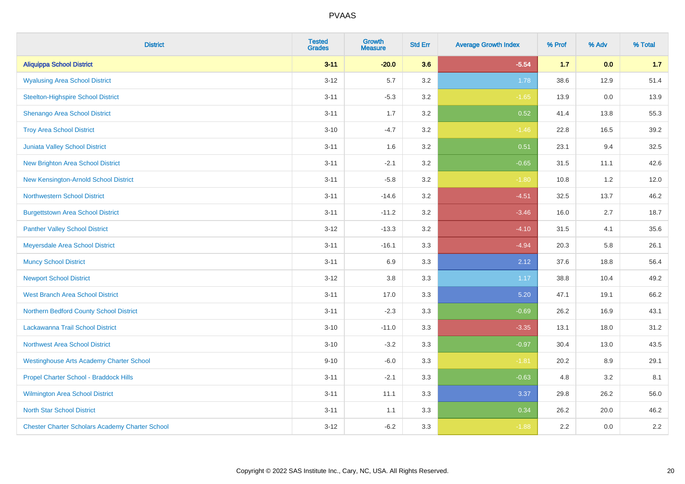| <b>District</b>                                        | <b>Tested</b><br><b>Grades</b> | <b>Growth</b><br><b>Measure</b> | <b>Std Err</b> | <b>Average Growth Index</b> | % Prof | % Adv | % Total |
|--------------------------------------------------------|--------------------------------|---------------------------------|----------------|-----------------------------|--------|-------|---------|
| <b>Aliquippa School District</b>                       | $3 - 11$                       | $-20.0$                         | 3.6            | $-5.54$                     | $1.7$  | 0.0   | 1.7     |
| <b>Wyalusing Area School District</b>                  | $3 - 12$                       | 5.7                             | 3.2            | 1.78                        | 38.6   | 12.9  | 51.4    |
| <b>Steelton-Highspire School District</b>              | $3 - 11$                       | $-5.3$                          | 3.2            | $-1.65$                     | 13.9   | 0.0   | 13.9    |
| <b>Shenango Area School District</b>                   | $3 - 11$                       | 1.7                             | 3.2            | 0.52                        | 41.4   | 13.8  | 55.3    |
| <b>Troy Area School District</b>                       | $3 - 10$                       | $-4.7$                          | 3.2            | $-1.46$                     | 22.8   | 16.5  | 39.2    |
| Juniata Valley School District                         | $3 - 11$                       | 1.6                             | 3.2            | 0.51                        | 23.1   | 9.4   | 32.5    |
| <b>New Brighton Area School District</b>               | $3 - 11$                       | $-2.1$                          | 3.2            | $-0.65$                     | 31.5   | 11.1  | 42.6    |
| New Kensington-Arnold School District                  | $3 - 11$                       | $-5.8$                          | 3.2            | $-1.80$                     | 10.8   | 1.2   | 12.0    |
| <b>Northwestern School District</b>                    | $3 - 11$                       | $-14.6$                         | 3.2            | $-4.51$                     | 32.5   | 13.7  | 46.2    |
| <b>Burgettstown Area School District</b>               | $3 - 11$                       | $-11.2$                         | 3.2            | $-3.46$                     | 16.0   | 2.7   | 18.7    |
| <b>Panther Valley School District</b>                  | $3 - 12$                       | $-13.3$                         | 3.2            | $-4.10$                     | 31.5   | 4.1   | 35.6    |
| Meyersdale Area School District                        | $3 - 11$                       | $-16.1$                         | 3.3            | $-4.94$                     | 20.3   | 5.8   | 26.1    |
| <b>Muncy School District</b>                           | $3 - 11$                       | 6.9                             | 3.3            | 2.12                        | 37.6   | 18.8  | 56.4    |
| <b>Newport School District</b>                         | $3 - 12$                       | 3.8                             | 3.3            | 1.17                        | 38.8   | 10.4  | 49.2    |
| <b>West Branch Area School District</b>                | $3 - 11$                       | 17.0                            | 3.3            | 5.20                        | 47.1   | 19.1  | 66.2    |
| Northern Bedford County School District                | $3 - 11$                       | $-2.3$                          | 3.3            | $-0.69$                     | 26.2   | 16.9  | 43.1    |
| Lackawanna Trail School District                       | $3 - 10$                       | $-11.0$                         | 3.3            | $-3.35$                     | 13.1   | 18.0  | 31.2    |
| Northwest Area School District                         | $3 - 10$                       | $-3.2$                          | 3.3            | $-0.97$                     | 30.4   | 13.0  | 43.5    |
| <b>Westinghouse Arts Academy Charter School</b>        | $9 - 10$                       | $-6.0$                          | 3.3            | $-1.81$                     | 20.2   | 8.9   | 29.1    |
| Propel Charter School - Braddock Hills                 | $3 - 11$                       | $-2.1$                          | 3.3            | $-0.63$                     | 4.8    | 3.2   | 8.1     |
| Wilmington Area School District                        | $3 - 11$                       | 11.1                            | 3.3            | 3.37                        | 29.8   | 26.2  | 56.0    |
| <b>North Star School District</b>                      | $3 - 11$                       | 1.1                             | 3.3            | 0.34                        | 26.2   | 20.0  | 46.2    |
| <b>Chester Charter Scholars Academy Charter School</b> | $3 - 12$                       | $-6.2$                          | 3.3            | $-1.88$                     | 2.2    | 0.0   | 2.2     |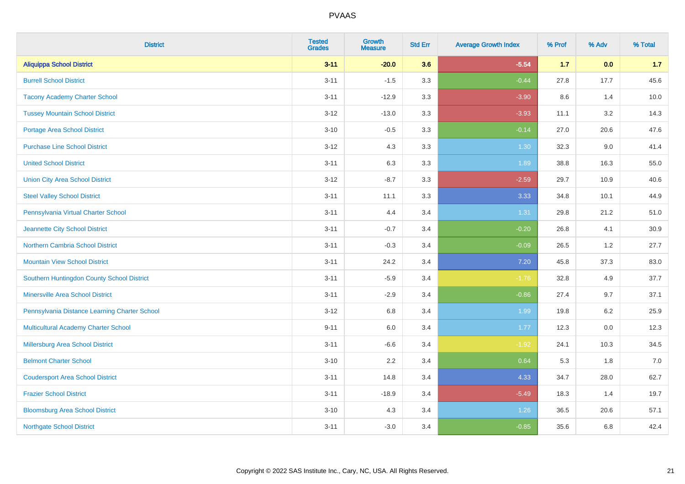| <b>District</b>                               | <b>Tested</b><br><b>Grades</b> | <b>Growth</b><br><b>Measure</b> | <b>Std Err</b> | <b>Average Growth Index</b> | % Prof | % Adv   | % Total |
|-----------------------------------------------|--------------------------------|---------------------------------|----------------|-----------------------------|--------|---------|---------|
| <b>Aliquippa School District</b>              | $3 - 11$                       | $-20.0$                         | 3.6            | $-5.54$                     | $1.7$  | 0.0     | 1.7     |
| <b>Burrell School District</b>                | $3 - 11$                       | $-1.5$                          | 3.3            | $-0.44$                     | 27.8   | 17.7    | 45.6    |
| <b>Tacony Academy Charter School</b>          | $3 - 11$                       | $-12.9$                         | 3.3            | $-3.90$                     | 8.6    | 1.4     | 10.0    |
| <b>Tussey Mountain School District</b>        | $3 - 12$                       | $-13.0$                         | 3.3            | $-3.93$                     | 11.1   | 3.2     | 14.3    |
| <b>Portage Area School District</b>           | $3 - 10$                       | $-0.5$                          | 3.3            | $-0.14$                     | 27.0   | 20.6    | 47.6    |
| <b>Purchase Line School District</b>          | $3 - 12$                       | 4.3                             | 3.3            | 1.30                        | 32.3   | 9.0     | 41.4    |
| <b>United School District</b>                 | $3 - 11$                       | 6.3                             | 3.3            | 1.89                        | 38.8   | 16.3    | 55.0    |
| <b>Union City Area School District</b>        | $3 - 12$                       | $-8.7$                          | 3.3            | $-2.59$                     | 29.7   | 10.9    | 40.6    |
| <b>Steel Valley School District</b>           | $3 - 11$                       | 11.1                            | 3.3            | 3.33                        | 34.8   | 10.1    | 44.9    |
| Pennsylvania Virtual Charter School           | $3 - 11$                       | 4.4                             | 3.4            | 1.31                        | 29.8   | 21.2    | 51.0    |
| Jeannette City School District                | $3 - 11$                       | $-0.7$                          | 3.4            | $-0.20$                     | 26.8   | 4.1     | 30.9    |
| <b>Northern Cambria School District</b>       | $3 - 11$                       | $-0.3$                          | 3.4            | $-0.09$                     | 26.5   | 1.2     | 27.7    |
| <b>Mountain View School District</b>          | $3 - 11$                       | 24.2                            | 3.4            | $7.20$                      | 45.8   | 37.3    | 83.0    |
| Southern Huntingdon County School District    | $3 - 11$                       | $-5.9$                          | 3.4            | $-1.76$                     | 32.8   | 4.9     | 37.7    |
| <b>Minersville Area School District</b>       | $3 - 11$                       | $-2.9$                          | 3.4            | $-0.86$                     | 27.4   | 9.7     | 37.1    |
| Pennsylvania Distance Learning Charter School | $3 - 12$                       | 6.8                             | 3.4            | 1.99                        | 19.8   | $6.2\,$ | 25.9    |
| <b>Multicultural Academy Charter School</b>   | $9 - 11$                       | 6.0                             | 3.4            | 1.77                        | 12.3   | 0.0     | 12.3    |
| <b>Millersburg Area School District</b>       | $3 - 11$                       | $-6.6$                          | 3.4            | $-1.92$                     | 24.1   | 10.3    | 34.5    |
| <b>Belmont Charter School</b>                 | $3 - 10$                       | 2.2                             | 3.4            | 0.64                        | 5.3    | 1.8     | $7.0$   |
| <b>Coudersport Area School District</b>       | $3 - 11$                       | 14.8                            | 3.4            | 4.33                        | 34.7   | 28.0    | 62.7    |
| <b>Frazier School District</b>                | $3 - 11$                       | $-18.9$                         | 3.4            | $-5.49$                     | 18.3   | 1.4     | 19.7    |
| <b>Bloomsburg Area School District</b>        | $3 - 10$                       | 4.3                             | 3.4            | 1.26                        | 36.5   | 20.6    | 57.1    |
| <b>Northgate School District</b>              | $3 - 11$                       | $-3.0$                          | 3.4            | $-0.85$                     | 35.6   | 6.8     | 42.4    |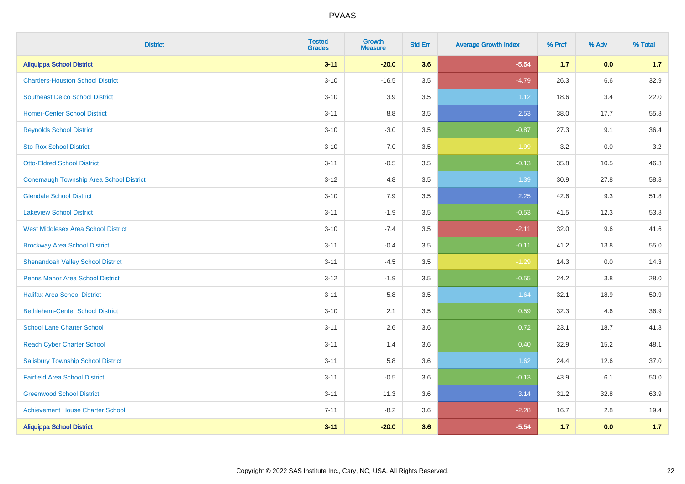| <b>District</b>                                | <b>Tested</b><br><b>Grades</b> | <b>Growth</b><br><b>Measure</b> | <b>Std Err</b> | <b>Average Growth Index</b> | % Prof | % Adv | % Total |
|------------------------------------------------|--------------------------------|---------------------------------|----------------|-----------------------------|--------|-------|---------|
| <b>Aliquippa School District</b>               | $3 - 11$                       | $-20.0$                         | 3.6            | $-5.54$                     | $1.7$  | 0.0   | 1.7     |
| <b>Chartiers-Houston School District</b>       | $3 - 10$                       | $-16.5$                         | 3.5            | $-4.79$                     | 26.3   | 6.6   | 32.9    |
| <b>Southeast Delco School District</b>         | $3 - 10$                       | 3.9                             | 3.5            | 1.12                        | 18.6   | 3.4   | 22.0    |
| <b>Homer-Center School District</b>            | $3 - 11$                       | 8.8                             | 3.5            | 2.53                        | 38.0   | 17.7  | 55.8    |
| <b>Reynolds School District</b>                | $3 - 10$                       | $-3.0$                          | 3.5            | $-0.87$                     | 27.3   | 9.1   | 36.4    |
| <b>Sto-Rox School District</b>                 | $3 - 10$                       | $-7.0$                          | 3.5            | $-1.99$                     | 3.2    | 0.0   | 3.2     |
| <b>Otto-Eldred School District</b>             | $3 - 11$                       | $-0.5$                          | 3.5            | $-0.13$                     | 35.8   | 10.5  | 46.3    |
| <b>Conemaugh Township Area School District</b> | $3 - 12$                       | 4.8                             | 3.5            | 1.39                        | 30.9   | 27.8  | 58.8    |
| <b>Glendale School District</b>                | $3 - 10$                       | 7.9                             | 3.5            | 2.25                        | 42.6   | 9.3   | 51.8    |
| <b>Lakeview School District</b>                | $3 - 11$                       | $-1.9$                          | 3.5            | $-0.53$                     | 41.5   | 12.3  | 53.8    |
| <b>West Middlesex Area School District</b>     | $3 - 10$                       | $-7.4$                          | 3.5            | $-2.11$                     | 32.0   | 9.6   | 41.6    |
| <b>Brockway Area School District</b>           | $3 - 11$                       | $-0.4$                          | 3.5            | $-0.11$                     | 41.2   | 13.8  | 55.0    |
| <b>Shenandoah Valley School District</b>       | $3 - 11$                       | $-4.5$                          | 3.5            | $-1.29$                     | 14.3   | 0.0   | 14.3    |
| <b>Penns Manor Area School District</b>        | $3 - 12$                       | $-1.9$                          | 3.5            | $-0.55$                     | 24.2   | 3.8   | 28.0    |
| <b>Halifax Area School District</b>            | $3 - 11$                       | 5.8                             | 3.5            | 1.64                        | 32.1   | 18.9  | 50.9    |
| <b>Bethlehem-Center School District</b>        | $3 - 10$                       | 2.1                             | 3.5            | 0.59                        | 32.3   | 4.6   | 36.9    |
| <b>School Lane Charter School</b>              | $3 - 11$                       | 2.6                             | 3.6            | 0.72                        | 23.1   | 18.7  | 41.8    |
| <b>Reach Cyber Charter School</b>              | $3 - 11$                       | 1.4                             | 3.6            | 0.40                        | 32.9   | 15.2  | 48.1    |
| <b>Salisbury Township School District</b>      | $3 - 11$                       | 5.8                             | 3.6            | 1.62                        | 24.4   | 12.6  | 37.0    |
| <b>Fairfield Area School District</b>          | $3 - 11$                       | $-0.5$                          | 3.6            | $-0.13$                     | 43.9   | 6.1   | 50.0    |
| <b>Greenwood School District</b>               | $3 - 11$                       | 11.3                            | 3.6            | 3.14                        | 31.2   | 32.8  | 63.9    |
| <b>Achievement House Charter School</b>        | $7 - 11$                       | $-8.2$                          | 3.6            | $-2.28$                     | 16.7   | 2.8   | 19.4    |
| <b>Aliquippa School District</b>               | $3 - 11$                       | $-20.0$                         | 3.6            | $-5.54$                     | 1.7    | 0.0   | $1.7$   |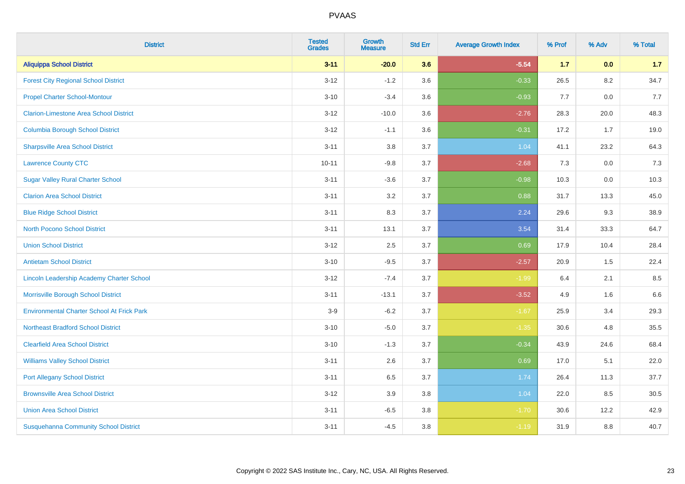| <b>District</b>                                   | <b>Tested</b><br><b>Grades</b> | <b>Growth</b><br><b>Measure</b> | <b>Std Err</b> | <b>Average Growth Index</b> | % Prof | % Adv   | % Total |
|---------------------------------------------------|--------------------------------|---------------------------------|----------------|-----------------------------|--------|---------|---------|
| <b>Aliquippa School District</b>                  | $3 - 11$                       | $-20.0$                         | 3.6            | $-5.54$                     | 1.7    | 0.0     | 1.7     |
| <b>Forest City Regional School District</b>       | $3 - 12$                       | $-1.2$                          | 3.6            | $-0.33$                     | 26.5   | $8.2\,$ | 34.7    |
| <b>Propel Charter School-Montour</b>              | $3 - 10$                       | $-3.4$                          | 3.6            | $-0.93$                     | 7.7    | 0.0     | 7.7     |
| <b>Clarion-Limestone Area School District</b>     | $3 - 12$                       | $-10.0$                         | 3.6            | $-2.76$                     | 28.3   | 20.0    | 48.3    |
| <b>Columbia Borough School District</b>           | $3 - 12$                       | $-1.1$                          | 3.6            | $-0.31$                     | 17.2   | 1.7     | 19.0    |
| <b>Sharpsville Area School District</b>           | $3 - 11$                       | 3.8                             | 3.7            | 1.04                        | 41.1   | 23.2    | 64.3    |
| <b>Lawrence County CTC</b>                        | $10 - 11$                      | $-9.8$                          | 3.7            | $-2.68$                     | 7.3    | 0.0     | 7.3     |
| <b>Sugar Valley Rural Charter School</b>          | $3 - 11$                       | $-3.6$                          | 3.7            | $-0.98$                     | 10.3   | 0.0     | 10.3    |
| <b>Clarion Area School District</b>               | $3 - 11$                       | 3.2                             | 3.7            | 0.88                        | 31.7   | 13.3    | 45.0    |
| <b>Blue Ridge School District</b>                 | $3 - 11$                       | 8.3                             | 3.7            | 2.24                        | 29.6   | 9.3     | 38.9    |
| <b>North Pocono School District</b>               | $3 - 11$                       | 13.1                            | 3.7            | 3.54                        | 31.4   | 33.3    | 64.7    |
| <b>Union School District</b>                      | $3 - 12$                       | 2.5                             | 3.7            | 0.69                        | 17.9   | 10.4    | 28.4    |
| <b>Antietam School District</b>                   | $3 - 10$                       | $-9.5$                          | 3.7            | $-2.57$                     | 20.9   | $1.5\,$ | 22.4    |
| Lincoln Leadership Academy Charter School         | $3 - 12$                       | $-7.4$                          | 3.7            | $-1.99$                     | 6.4    | 2.1     | 8.5     |
| Morrisville Borough School District               | $3 - 11$                       | $-13.1$                         | 3.7            | $-3.52$                     | 4.9    | 1.6     | 6.6     |
| <b>Environmental Charter School At Frick Park</b> | $3-9$                          | $-6.2$                          | 3.7            | $-1.67$                     | 25.9   | 3.4     | 29.3    |
| <b>Northeast Bradford School District</b>         | $3 - 10$                       | $-5.0$                          | 3.7            | $-1.35$                     | 30.6   | 4.8     | 35.5    |
| <b>Clearfield Area School District</b>            | $3 - 10$                       | $-1.3$                          | 3.7            | $-0.34$                     | 43.9   | 24.6    | 68.4    |
| <b>Williams Valley School District</b>            | $3 - 11$                       | 2.6                             | 3.7            | 0.69                        | 17.0   | 5.1     | 22.0    |
| <b>Port Allegany School District</b>              | $3 - 11$                       | 6.5                             | 3.7            | 1.74                        | 26.4   | 11.3    | 37.7    |
| <b>Brownsville Area School District</b>           | $3 - 12$                       | 3.9                             | 3.8            | 1.04                        | 22.0   | 8.5     | 30.5    |
| <b>Union Area School District</b>                 | $3 - 11$                       | $-6.5$                          | 3.8            | $-1.70$                     | 30.6   | 12.2    | 42.9    |
| <b>Susquehanna Community School District</b>      | $3 - 11$                       | $-4.5$                          | 3.8            | $-1.19$                     | 31.9   | 8.8     | 40.7    |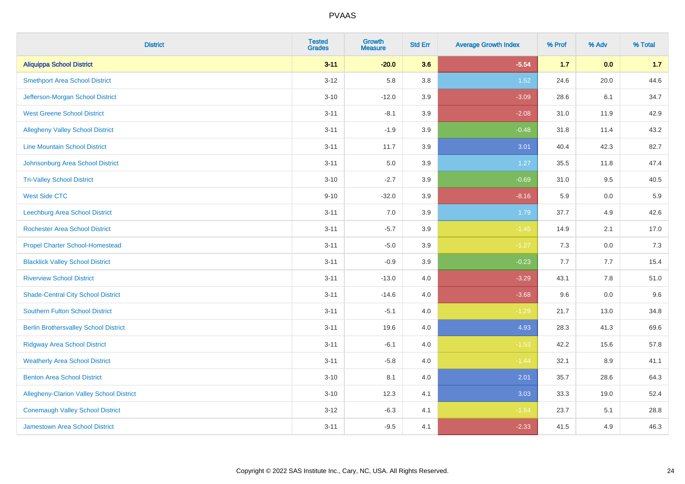| <b>District</b>                              | <b>Tested</b><br><b>Grades</b> | <b>Growth</b><br><b>Measure</b> | <b>Std Err</b> | <b>Average Growth Index</b> | % Prof | % Adv   | % Total |
|----------------------------------------------|--------------------------------|---------------------------------|----------------|-----------------------------|--------|---------|---------|
| <b>Aliquippa School District</b>             | $3 - 11$                       | $-20.0$                         | 3.6            | $-5.54$                     | $1.7$  | 0.0     | 1.7     |
| <b>Smethport Area School District</b>        | $3 - 12$                       | 5.8                             | 3.8            | $1.52$                      | 24.6   | 20.0    | 44.6    |
| Jefferson-Morgan School District             | $3 - 10$                       | $-12.0$                         | 3.9            | $-3.09$                     | 28.6   | 6.1     | 34.7    |
| <b>West Greene School District</b>           | $3 - 11$                       | $-8.1$                          | 3.9            | $-2.08$                     | 31.0   | 11.9    | 42.9    |
| <b>Allegheny Valley School District</b>      | $3 - 11$                       | $-1.9$                          | 3.9            | $-0.48$                     | 31.8   | 11.4    | 43.2    |
| <b>Line Mountain School District</b>         | $3 - 11$                       | 11.7                            | 3.9            | 3.01                        | 40.4   | 42.3    | 82.7    |
| Johnsonburg Area School District             | $3 - 11$                       | 5.0                             | 3.9            | 1.27                        | 35.5   | 11.8    | 47.4    |
| <b>Tri-Valley School District</b>            | $3 - 10$                       | $-2.7$                          | 3.9            | $-0.69$                     | 31.0   | 9.5     | 40.5    |
| <b>West Side CTC</b>                         | $9 - 10$                       | $-32.0$                         | 3.9            | $-8.16$                     | 5.9    | 0.0     | 5.9     |
| <b>Leechburg Area School District</b>        | $3 - 11$                       | 7.0                             | 3.9            | 1.79                        | 37.7   | 4.9     | 42.6    |
| <b>Rochester Area School District</b>        | $3 - 11$                       | $-5.7$                          | 3.9            | $-1.45$                     | 14.9   | 2.1     | 17.0    |
| <b>Propel Charter School-Homestead</b>       | $3 - 11$                       | $-5.0$                          | 3.9            | $-1.27$                     | 7.3    | 0.0     | 7.3     |
| <b>Blacklick Valley School District</b>      | $3 - 11$                       | $-0.9$                          | 3.9            | $-0.23$                     | 7.7    | 7.7     | 15.4    |
| <b>Riverview School District</b>             | $3 - 11$                       | $-13.0$                         | 4.0            | $-3.29$                     | 43.1   | $7.8\,$ | 51.0    |
| <b>Shade-Central City School District</b>    | $3 - 11$                       | $-14.6$                         | 4.0            | $-3.68$                     | 9.6    | 0.0     | 9.6     |
| <b>Southern Fulton School District</b>       | $3 - 11$                       | $-5.1$                          | 4.0            | $-1.29$                     | 21.7   | 13.0    | 34.8    |
| <b>Berlin Brothersvalley School District</b> | $3 - 11$                       | 19.6                            | 4.0            | 4.93                        | 28.3   | 41.3    | 69.6    |
| <b>Ridgway Area School District</b>          | $3 - 11$                       | $-6.1$                          | 4.0            | $-1.53$                     | 42.2   | 15.6    | 57.8    |
| <b>Weatherly Area School District</b>        | $3 - 11$                       | $-5.8$                          | 4.0            | $-1.44$                     | 32.1   | $8.9\,$ | 41.1    |
| <b>Benton Area School District</b>           | $3 - 10$                       | 8.1                             | 4.0            | 2.01                        | 35.7   | 28.6    | 64.3    |
| Allegheny-Clarion Valley School District     | $3 - 10$                       | 12.3                            | 4.1            | 3.03                        | 33.3   | 19.0    | 52.4    |
| <b>Conemaugh Valley School District</b>      | $3 - 12$                       | $-6.3$                          | 4.1            | $-1.54$                     | 23.7   | 5.1     | 28.8    |
| Jamestown Area School District               | $3 - 11$                       | $-9.5$                          | 4.1            | $-2.33$                     | 41.5   | 4.9     | 46.3    |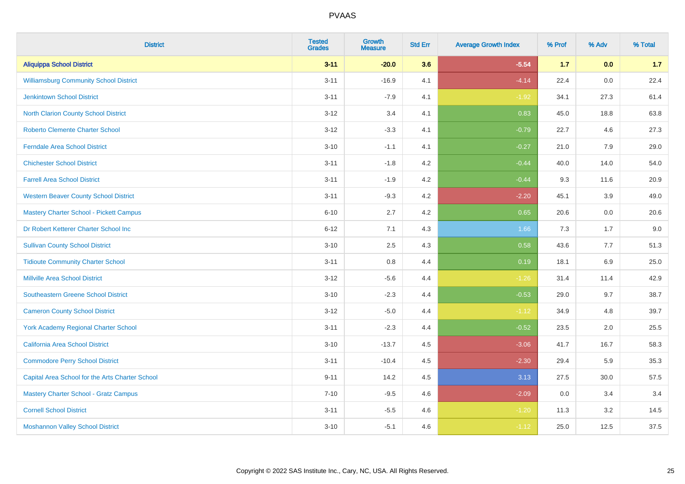| <b>District</b>                                 | <b>Tested</b><br><b>Grades</b> | <b>Growth</b><br><b>Measure</b> | <b>Std Err</b> | <b>Average Growth Index</b> | % Prof | % Adv | % Total |
|-------------------------------------------------|--------------------------------|---------------------------------|----------------|-----------------------------|--------|-------|---------|
| <b>Aliquippa School District</b>                | $3 - 11$                       | $-20.0$                         | 3.6            | $-5.54$                     | $1.7$  | 0.0   | 1.7     |
| <b>Williamsburg Community School District</b>   | $3 - 11$                       | $-16.9$                         | 4.1            | $-4.14$                     | 22.4   | 0.0   | 22.4    |
| <b>Jenkintown School District</b>               | $3 - 11$                       | $-7.9$                          | 4.1            | $-1.92$                     | 34.1   | 27.3  | 61.4    |
| North Clarion County School District            | $3 - 12$                       | 3.4                             | 4.1            | 0.83                        | 45.0   | 18.8  | 63.8    |
| <b>Roberto Clemente Charter School</b>          | $3 - 12$                       | $-3.3$                          | 4.1            | $-0.79$                     | 22.7   | 4.6   | 27.3    |
| <b>Ferndale Area School District</b>            | $3 - 10$                       | $-1.1$                          | 4.1            | $-0.27$                     | 21.0   | 7.9   | 29.0    |
| <b>Chichester School District</b>               | $3 - 11$                       | $-1.8$                          | 4.2            | $-0.44$                     | 40.0   | 14.0  | 54.0    |
| <b>Farrell Area School District</b>             | $3 - 11$                       | $-1.9$                          | 4.2            | $-0.44$                     | 9.3    | 11.6  | 20.9    |
| <b>Western Beaver County School District</b>    | $3 - 11$                       | $-9.3$                          | 4.2            | $-2.20$                     | 45.1   | 3.9   | 49.0    |
| <b>Mastery Charter School - Pickett Campus</b>  | $6 - 10$                       | 2.7                             | 4.2            | 0.65                        | 20.6   | 0.0   | 20.6    |
| Dr Robert Ketterer Charter School Inc           | $6 - 12$                       | 7.1                             | 4.3            | 1.66                        | 7.3    | 1.7   | 9.0     |
| <b>Sullivan County School District</b>          | $3 - 10$                       | 2.5                             | 4.3            | 0.58                        | 43.6   | 7.7   | 51.3    |
| <b>Tidioute Community Charter School</b>        | $3 - 11$                       | 0.8                             | 4.4            | 0.19                        | 18.1   | 6.9   | 25.0    |
| <b>Millville Area School District</b>           | $3 - 12$                       | $-5.6$                          | 4.4            | $-1.26$                     | 31.4   | 11.4  | 42.9    |
| <b>Southeastern Greene School District</b>      | $3 - 10$                       | $-2.3$                          | 4.4            | $-0.53$                     | 29.0   | 9.7   | 38.7    |
| <b>Cameron County School District</b>           | $3 - 12$                       | $-5.0$                          | 4.4            | $-1.12$                     | 34.9   | 4.8   | 39.7    |
| <b>York Academy Regional Charter School</b>     | $3 - 11$                       | $-2.3$                          | 4.4            | $-0.52$                     | 23.5   | 2.0   | 25.5    |
| California Area School District                 | $3 - 10$                       | $-13.7$                         | 4.5            | $-3.06$                     | 41.7   | 16.7  | 58.3    |
| <b>Commodore Perry School District</b>          | $3 - 11$                       | $-10.4$                         | 4.5            | $-2.30$                     | 29.4   | 5.9   | 35.3    |
| Capital Area School for the Arts Charter School | $9 - 11$                       | 14.2                            | 4.5            | 3.13                        | 27.5   | 30.0  | 57.5    |
| <b>Mastery Charter School - Gratz Campus</b>    | $7 - 10$                       | $-9.5$                          | 4.6            | $-2.09$                     | 0.0    | 3.4   | 3.4     |
| <b>Cornell School District</b>                  | $3 - 11$                       | $-5.5$                          | 4.6            | $-1.20$                     | 11.3   | 3.2   | 14.5    |
| <b>Moshannon Valley School District</b>         | $3 - 10$                       | $-5.1$                          | 4.6            | $-1.12$                     | 25.0   | 12.5  | 37.5    |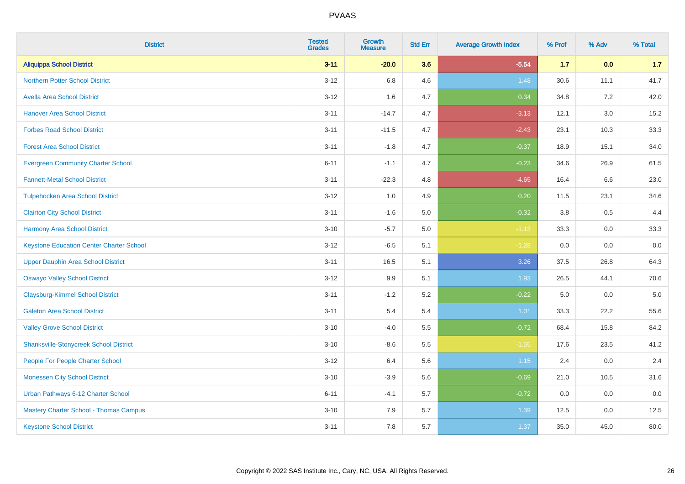| <b>District</b>                                 | <b>Tested</b><br><b>Grades</b> | <b>Growth</b><br><b>Measure</b> | <b>Std Err</b> | <b>Average Growth Index</b> | % Prof | % Adv   | % Total |
|-------------------------------------------------|--------------------------------|---------------------------------|----------------|-----------------------------|--------|---------|---------|
| <b>Aliquippa School District</b>                | $3 - 11$                       | $-20.0$                         | 3.6            | $-5.54$                     | 1.7    | 0.0     | 1.7     |
| <b>Northern Potter School District</b>          | $3 - 12$                       | 6.8                             | 4.6            | 1.48                        | 30.6   | 11.1    | 41.7    |
| <b>Avella Area School District</b>              | $3 - 12$                       | 1.6                             | 4.7            | 0.34                        | 34.8   | 7.2     | 42.0    |
| <b>Hanover Area School District</b>             | $3 - 11$                       | $-14.7$                         | 4.7            | $-3.13$                     | 12.1   | 3.0     | 15.2    |
| <b>Forbes Road School District</b>              | $3 - 11$                       | $-11.5$                         | 4.7            | $-2.43$                     | 23.1   | 10.3    | 33.3    |
| <b>Forest Area School District</b>              | $3 - 11$                       | $-1.8$                          | 4.7            | $-0.37$                     | 18.9   | 15.1    | 34.0    |
| <b>Evergreen Community Charter School</b>       | $6 - 11$                       | $-1.1$                          | 4.7            | $-0.23$                     | 34.6   | 26.9    | 61.5    |
| <b>Fannett-Metal School District</b>            | $3 - 11$                       | $-22.3$                         | 4.8            | $-4.65$                     | 16.4   | 6.6     | 23.0    |
| <b>Tulpehocken Area School District</b>         | $3 - 12$                       | 1.0                             | 4.9            | 0.20                        | 11.5   | 23.1    | 34.6    |
| <b>Clairton City School District</b>            | $3 - 11$                       | $-1.6$                          | 5.0            | $-0.32$                     | 3.8    | $0.5\,$ | 4.4     |
| <b>Harmony Area School District</b>             | $3 - 10$                       | $-5.7$                          | 5.0            | $-1.13$                     | 33.3   | 0.0     | 33.3    |
| <b>Keystone Education Center Charter School</b> | $3 - 12$                       | $-6.5$                          | 5.1            | $-1.28$                     | 0.0    | 0.0     | 0.0     |
| <b>Upper Dauphin Area School District</b>       | $3 - 11$                       | 16.5                            | 5.1            | 3.26                        | 37.5   | 26.8    | 64.3    |
| <b>Oswayo Valley School District</b>            | $3 - 12$                       | 9.9                             | 5.1            | 1.93                        | 26.5   | 44.1    | 70.6    |
| <b>Claysburg-Kimmel School District</b>         | $3 - 11$                       | $-1.2$                          | 5.2            | $-0.22$                     | 5.0    | 0.0     | $5.0\,$ |
| <b>Galeton Area School District</b>             | $3 - 11$                       | 5.4                             | 5.4            | 1.01                        | 33.3   | 22.2    | 55.6    |
| <b>Valley Grove School District</b>             | $3 - 10$                       | $-4.0$                          | 5.5            | $-0.72$                     | 68.4   | 15.8    | 84.2    |
| <b>Shanksville-Stonycreek School District</b>   | $3 - 10$                       | $-8.6$                          | 5.5            | $-1.55$                     | 17.6   | 23.5    | 41.2    |
| People For People Charter School                | $3-12$                         | 6.4                             | 5.6            | $1.15$                      | 2.4    | 0.0     | 2.4     |
| <b>Monessen City School District</b>            | $3 - 10$                       | $-3.9$                          | 5.6            | $-0.69$                     | 21.0   | 10.5    | 31.6    |
| Urban Pathways 6-12 Charter School              | $6 - 11$                       | $-4.1$                          | 5.7            | $-0.72$                     | 0.0    | 0.0     | 0.0     |
| Mastery Charter School - Thomas Campus          | $3 - 10$                       | 7.9                             | 5.7            | 1.39                        | 12.5   | $0.0\,$ | 12.5    |
| <b>Keystone School District</b>                 | $3 - 11$                       | 7.8                             | 5.7            | 1.37                        | 35.0   | 45.0    | 80.0    |